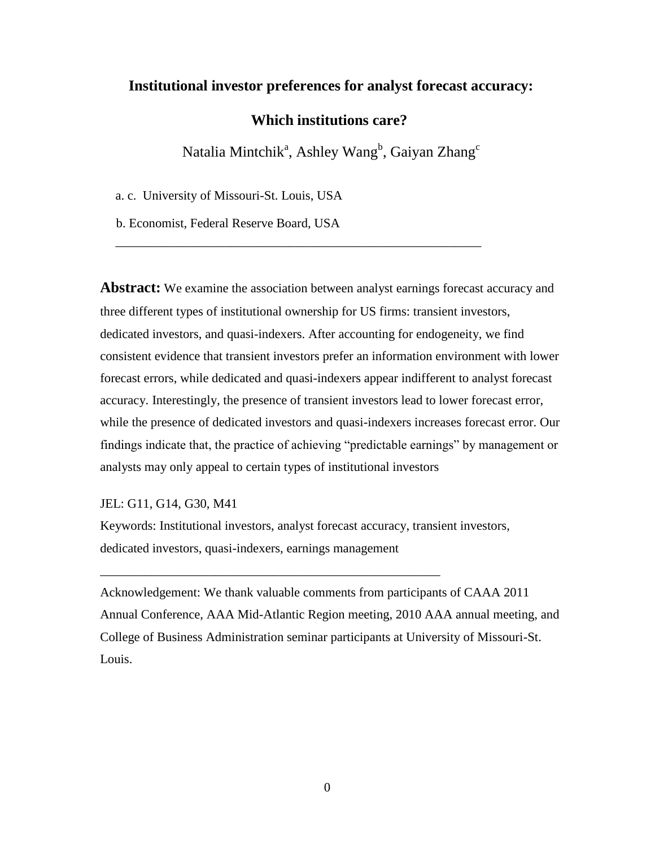# **Institutional investor preferences for analyst forecast accuracy:**

# **Which institutions care?**

Natalia Mintchik<sup>a</sup>, Ashley Wang<sup>b</sup>, Gaiyan Zhang<sup>c</sup>

\_\_\_\_\_\_\_\_\_\_\_\_\_\_\_\_\_\_\_\_\_\_\_\_\_\_\_\_\_\_\_\_\_\_\_\_\_\_\_\_\_\_\_\_\_\_\_\_\_\_\_\_\_\_\_\_\_

a. c. University of Missouri-St. Louis, USA

b. Economist, Federal Reserve Board, USA

**Abstract:** We examine the association between analyst earnings forecast accuracy and three different types of institutional ownership for US firms: transient investors, dedicated investors, and quasi-indexers. After accounting for endogeneity, we find consistent evidence that transient investors prefer an information environment with lower forecast errors, while dedicated and quasi-indexers appear indifferent to analyst forecast accuracy. Interestingly, the presence of transient investors lead to lower forecast error, while the presence of dedicated investors and quasi-indexers increases forecast error. Our findings indicate that, the practice of achieving "predictable earnings" by management or analysts may only appeal to certain types of institutional investors

JEL: G11, G14, G30, M41

Keywords: Institutional investors, analyst forecast accuracy, transient investors, dedicated investors, quasi-indexers, earnings management

\_\_\_\_\_\_\_\_\_\_\_\_\_\_\_\_\_\_\_\_\_\_\_\_\_\_\_\_\_\_\_\_\_\_\_\_\_\_\_\_\_\_\_\_\_\_\_\_\_\_\_\_\_

Acknowledgement: We thank valuable comments from participants of CAAA 2011 Annual Conference, AAA Mid-Atlantic Region meeting, 2010 AAA annual meeting, and College of Business Administration seminar participants at University of Missouri-St. Louis.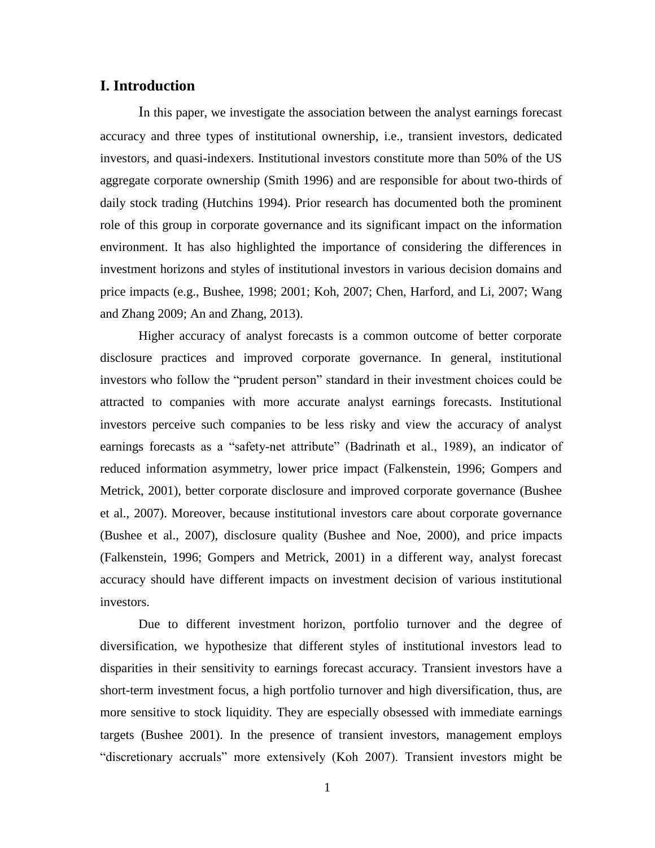### **I. Introduction**

In this paper, we investigate the association between the analyst earnings forecast accuracy and three types of institutional ownership, i.e., transient investors, dedicated investors, and quasi-indexers. Institutional investors constitute more than 50% of the US aggregate corporate ownership (Smith 1996) and are responsible for about two-thirds of daily stock trading (Hutchins 1994). Prior research has documented both the prominent role of this group in corporate governance and its significant impact on the information environment. It has also highlighted the importance of considering the differences in investment horizons and styles of institutional investors in various decision domains and price impacts (e.g., Bushee, 1998; 2001; Koh, 2007; Chen, Harford, and Li, 2007; Wang and Zhang 2009; An and Zhang, 2013).

Higher accuracy of analyst forecasts is a common outcome of better corporate disclosure practices and improved corporate governance. In general, institutional investors who follow the "prudent person" standard in their investment choices could be attracted to companies with more accurate analyst earnings forecasts. Institutional investors perceive such companies to be less risky and view the accuracy of analyst earnings forecasts as a "safety-net attribute" (Badrinath et al., 1989), an indicator of reduced information asymmetry, lower price impact (Falkenstein, 1996; Gompers and Metrick, 2001), better corporate disclosure and improved corporate governance (Bushee et al., 2007). Moreover, because institutional investors care about corporate governance (Bushee et al., 2007), disclosure quality (Bushee and Noe, 2000), and price impacts (Falkenstein, 1996; Gompers and Metrick, 2001) in a different way, analyst forecast accuracy should have different impacts on investment decision of various institutional investors.

Due to different investment horizon, portfolio turnover and the degree of diversification, we hypothesize that different styles of institutional investors lead to disparities in their sensitivity to earnings forecast accuracy. Transient investors have a short-term investment focus, a high portfolio turnover and high diversification, thus, are more sensitive to stock liquidity. They are especially obsessed with immediate earnings targets (Bushee 2001). In the presence of transient investors, management employs "discretionary accruals" more extensively (Koh 2007). Transient investors might be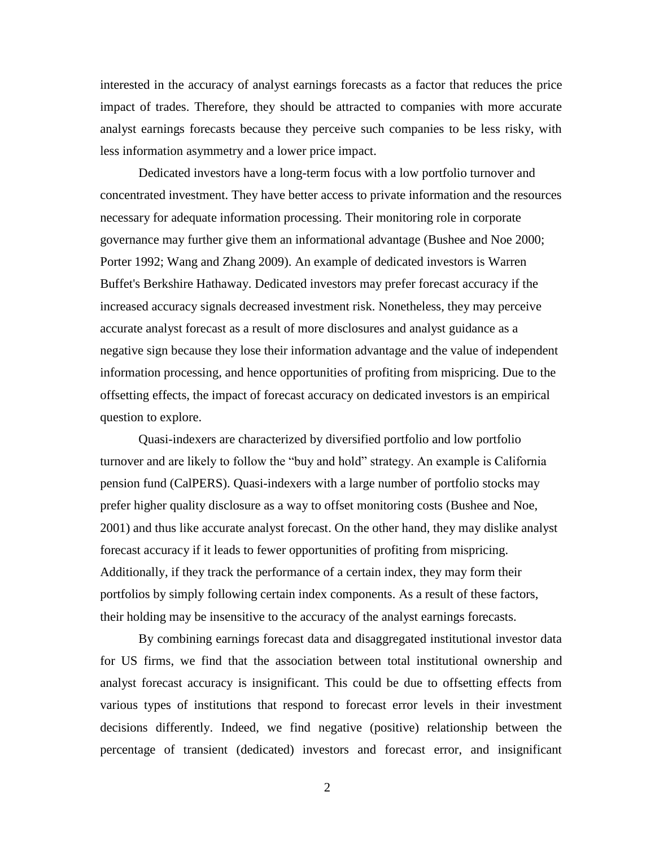interested in the accuracy of analyst earnings forecasts as a factor that reduces the price impact of trades. Therefore, they should be attracted to companies with more accurate analyst earnings forecasts because they perceive such companies to be less risky, with less information asymmetry and a lower price impact.

Dedicated investors have a long-term focus with a low portfolio turnover and concentrated investment. They have better access to private information and the resources necessary for adequate information processing. Their monitoring role in corporate governance may further give them an informational advantage (Bushee and Noe 2000; Porter 1992; Wang and Zhang 2009). An example of dedicated investors is Warren Buffet's Berkshire Hathaway. Dedicated investors may prefer forecast accuracy if the increased accuracy signals decreased investment risk. Nonetheless, they may perceive accurate analyst forecast as a result of more disclosures and analyst guidance as a negative sign because they lose their information advantage and the value of independent information processing, and hence opportunities of profiting from mispricing. Due to the offsetting effects, the impact of forecast accuracy on dedicated investors is an empirical question to explore.

Quasi-indexers are characterized by diversified portfolio and low portfolio turnover and are likely to follow the "buy and hold" strategy. An example is California pension fund (CalPERS). Quasi-indexers with a large number of portfolio stocks may prefer higher quality disclosure as a way to offset monitoring costs (Bushee and Noe, 2001) and thus like accurate analyst forecast. On the other hand, they may dislike analyst forecast accuracy if it leads to fewer opportunities of profiting from mispricing. Additionally, if they track the performance of a certain index, they may form their portfolios by simply following certain index components. As a result of these factors, their holding may be insensitive to the accuracy of the analyst earnings forecasts.

By combining earnings forecast data and disaggregated institutional investor data for US firms, we find that the association between total institutional ownership and analyst forecast accuracy is insignificant. This could be due to offsetting effects from various types of institutions that respond to forecast error levels in their investment decisions differently. Indeed, we find negative (positive) relationship between the percentage of transient (dedicated) investors and forecast error, and insignificant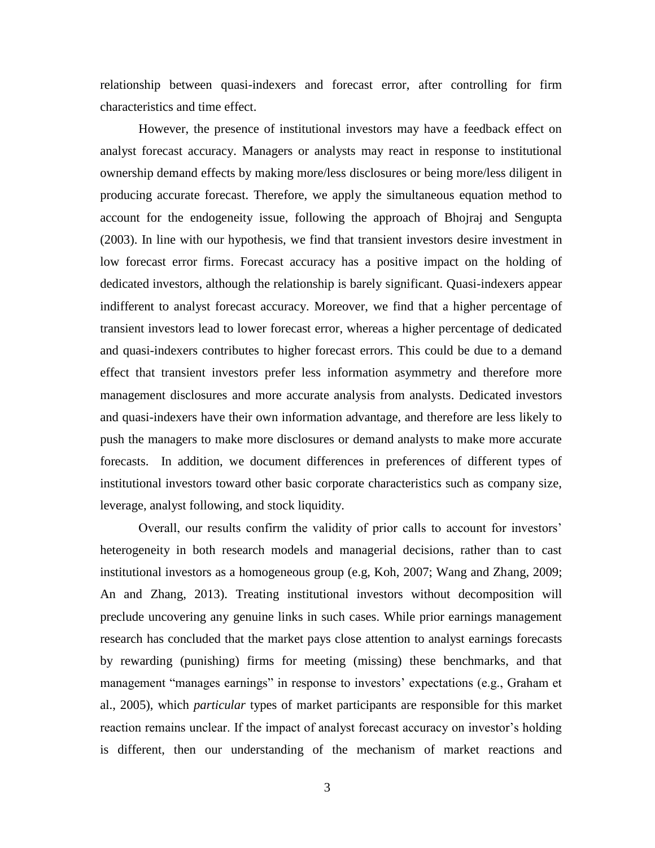relationship between quasi-indexers and forecast error, after controlling for firm characteristics and time effect.

However, the presence of institutional investors may have a feedback effect on analyst forecast accuracy. Managers or analysts may react in response to institutional ownership demand effects by making more/less disclosures or being more/less diligent in producing accurate forecast. Therefore, we apply the simultaneous equation method to account for the endogeneity issue, following the approach of Bhojraj and Sengupta (2003). In line with our hypothesis, we find that transient investors desire investment in low forecast error firms. Forecast accuracy has a positive impact on the holding of dedicated investors, although the relationship is barely significant. Quasi-indexers appear indifferent to analyst forecast accuracy. Moreover, we find that a higher percentage of transient investors lead to lower forecast error, whereas a higher percentage of dedicated and quasi-indexers contributes to higher forecast errors. This could be due to a demand effect that transient investors prefer less information asymmetry and therefore more management disclosures and more accurate analysis from analysts. Dedicated investors and quasi-indexers have their own information advantage, and therefore are less likely to push the managers to make more disclosures or demand analysts to make more accurate forecasts. In addition, we document differences in preferences of different types of institutional investors toward other basic corporate characteristics such as company size, leverage, analyst following, and stock liquidity.

Overall, our results confirm the validity of prior calls to account for investors' heterogeneity in both research models and managerial decisions, rather than to cast institutional investors as a homogeneous group (e.g, Koh, 2007; Wang and Zhang, 2009; An and Zhang, 2013). Treating institutional investors without decomposition will preclude uncovering any genuine links in such cases. While prior earnings management research has concluded that the market pays close attention to analyst earnings forecasts by rewarding (punishing) firms for meeting (missing) these benchmarks, and that management "manages earnings" in response to investors' expectations (e.g., Graham et al., 2005), which *particular* types of market participants are responsible for this market reaction remains unclear. If the impact of analyst forecast accuracy on investor's holding is different, then our understanding of the mechanism of market reactions and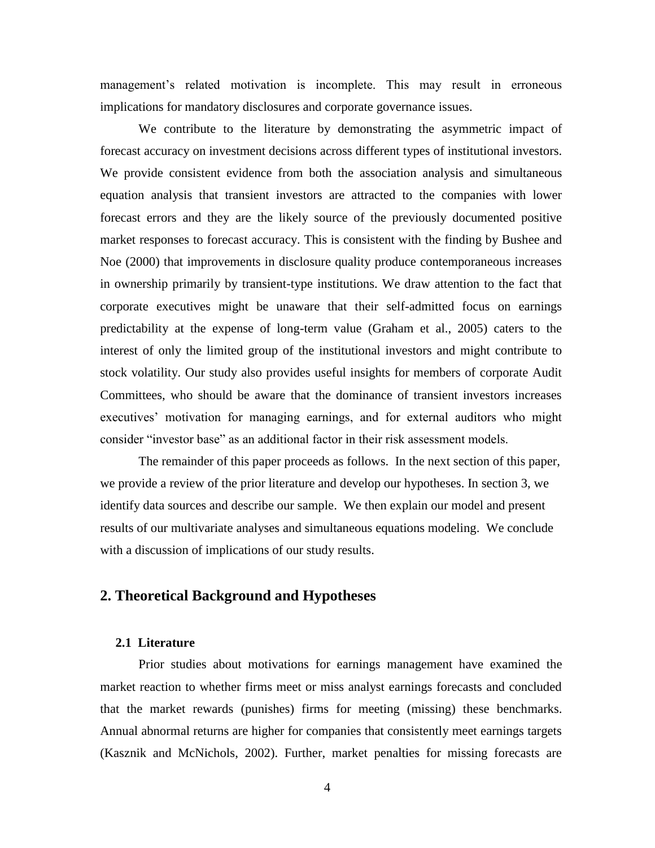management's related motivation is incomplete. This may result in erroneous implications for mandatory disclosures and corporate governance issues.

We contribute to the literature by demonstrating the asymmetric impact of forecast accuracy on investment decisions across different types of institutional investors. We provide consistent evidence from both the association analysis and simultaneous equation analysis that transient investors are attracted to the companies with lower forecast errors and they are the likely source of the previously documented positive market responses to forecast accuracy. This is consistent with the finding by Bushee and Noe (2000) that improvements in disclosure quality produce contemporaneous increases in ownership primarily by transient-type institutions. We draw attention to the fact that corporate executives might be unaware that their self-admitted focus on earnings predictability at the expense of long-term value (Graham et al., 2005) caters to the interest of only the limited group of the institutional investors and might contribute to stock volatility. Our study also provides useful insights for members of corporate Audit Committees, who should be aware that the dominance of transient investors increases executives' motivation for managing earnings, and for external auditors who might consider "investor base" as an additional factor in their risk assessment models.

The remainder of this paper proceeds as follows. In the next section of this paper, we provide a review of the prior literature and develop our hypotheses. In section 3, we identify data sources and describe our sample. We then explain our model and present results of our multivariate analyses and simultaneous equations modeling. We conclude with a discussion of implications of our study results.

# **2. Theoretical Background and Hypotheses**

### **2.1 Literature**

Prior studies about motivations for earnings management have examined the market reaction to whether firms meet or miss analyst earnings forecasts and concluded that the market rewards (punishes) firms for meeting (missing) these benchmarks. Annual abnormal returns are higher for companies that consistently meet earnings targets (Kasznik and McNichols, 2002). Further, market penalties for missing forecasts are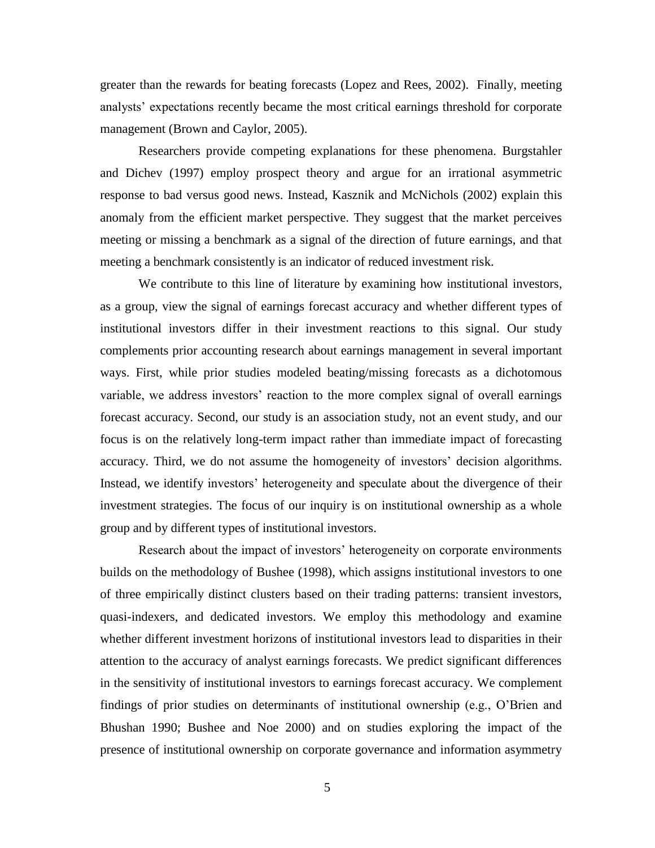greater than the rewards for beating forecasts (Lopez and Rees, 2002). Finally, meeting analysts' expectations recently became the most critical earnings threshold for corporate management (Brown and Caylor, 2005).

Researchers provide competing explanations for these phenomena. Burgstahler and Dichev (1997) employ prospect theory and argue for an irrational asymmetric response to bad versus good news. Instead, Kasznik and McNichols (2002) explain this anomaly from the efficient market perspective. They suggest that the market perceives meeting or missing a benchmark as a signal of the direction of future earnings, and that meeting a benchmark consistently is an indicator of reduced investment risk.

We contribute to this line of literature by examining how institutional investors, as a group, view the signal of earnings forecast accuracy and whether different types of institutional investors differ in their investment reactions to this signal. Our study complements prior accounting research about earnings management in several important ways. First, while prior studies modeled beating/missing forecasts as a dichotomous variable, we address investors' reaction to the more complex signal of overall earnings forecast accuracy. Second, our study is an association study, not an event study, and our focus is on the relatively long-term impact rather than immediate impact of forecasting accuracy. Third, we do not assume the homogeneity of investors' decision algorithms. Instead, we identify investors' heterogeneity and speculate about the divergence of their investment strategies. The focus of our inquiry is on institutional ownership as a whole group and by different types of institutional investors.

Research about the impact of investors' heterogeneity on corporate environments builds on the methodology of Bushee (1998), which assigns institutional investors to one of three empirically distinct clusters based on their trading patterns: transient investors, quasi-indexers, and dedicated investors. We employ this methodology and examine whether different investment horizons of institutional investors lead to disparities in their attention to the accuracy of analyst earnings forecasts. We predict significant differences in the sensitivity of institutional investors to earnings forecast accuracy. We complement findings of prior studies on determinants of institutional ownership (e.g., O'Brien and Bhushan 1990; Bushee and Noe 2000) and on studies exploring the impact of the presence of institutional ownership on corporate governance and information asymmetry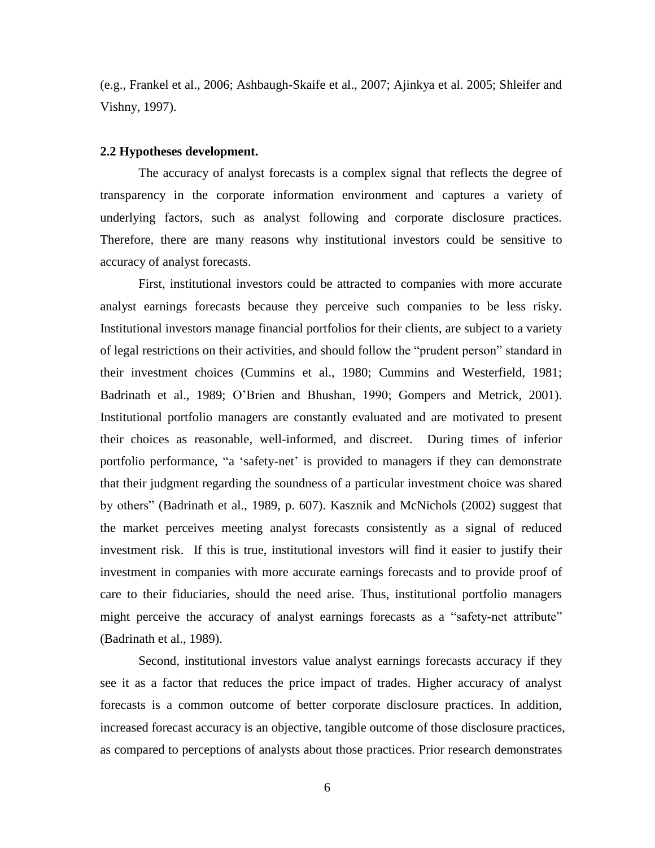(e.g., Frankel et al., 2006; Ashbaugh-Skaife et al., 2007; Ajinkya et al. 2005; Shleifer and Vishny, 1997).

#### **2.2 Hypotheses development.**

The accuracy of analyst forecasts is a complex signal that reflects the degree of transparency in the corporate information environment and captures a variety of underlying factors, such as analyst following and corporate disclosure practices. Therefore, there are many reasons why institutional investors could be sensitive to accuracy of analyst forecasts.

First, institutional investors could be attracted to companies with more accurate analyst earnings forecasts because they perceive such companies to be less risky. Institutional investors manage financial portfolios for their clients, are subject to a variety of legal restrictions on their activities, and should follow the "prudent person" standard in their investment choices (Cummins et al., 1980; Cummins and Westerfield, 1981; Badrinath et al., 1989; O'Brien and Bhushan, 1990; Gompers and Metrick, 2001). Institutional portfolio managers are constantly evaluated and are motivated to present their choices as reasonable, well-informed, and discreet. During times of inferior portfolio performance, "a 'safety-net' is provided to managers if they can demonstrate that their judgment regarding the soundness of a particular investment choice was shared by others" (Badrinath et al., 1989, p. 607). Kasznik and McNichols (2002) suggest that the market perceives meeting analyst forecasts consistently as a signal of reduced investment risk. If this is true, institutional investors will find it easier to justify their investment in companies with more accurate earnings forecasts and to provide proof of care to their fiduciaries, should the need arise. Thus, institutional portfolio managers might perceive the accuracy of analyst earnings forecasts as a "safety-net attribute" (Badrinath et al., 1989).

Second, institutional investors value analyst earnings forecasts accuracy if they see it as a factor that reduces the price impact of trades. Higher accuracy of analyst forecasts is a common outcome of better corporate disclosure practices. In addition, increased forecast accuracy is an objective, tangible outcome of those disclosure practices, as compared to perceptions of analysts about those practices. Prior research demonstrates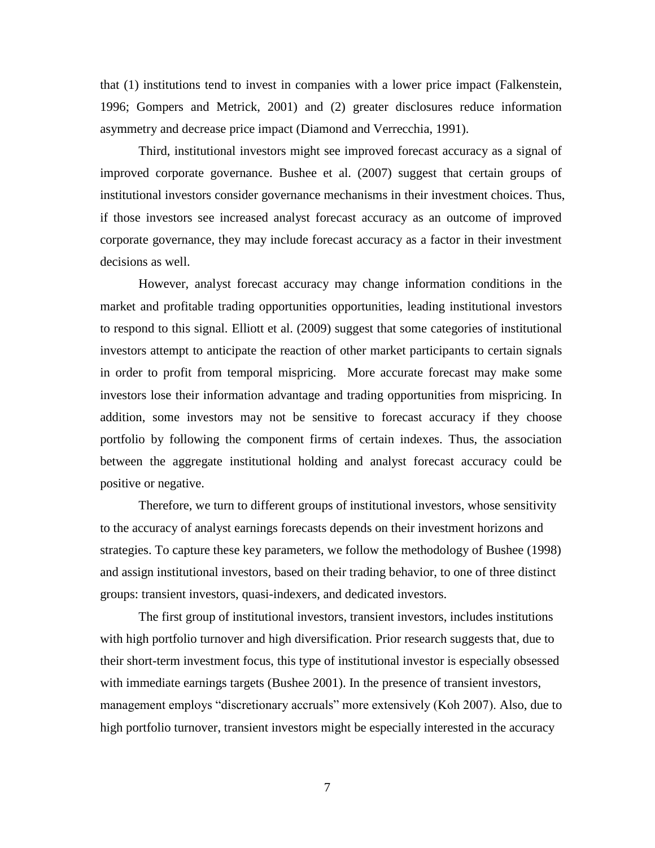that (1) institutions tend to invest in companies with a lower price impact (Falkenstein, 1996; Gompers and Metrick, 2001) and (2) greater disclosures reduce information asymmetry and decrease price impact (Diamond and Verrecchia, 1991).

Third, institutional investors might see improved forecast accuracy as a signal of improved corporate governance. Bushee et al. (2007) suggest that certain groups of institutional investors consider governance mechanisms in their investment choices. Thus, if those investors see increased analyst forecast accuracy as an outcome of improved corporate governance, they may include forecast accuracy as a factor in their investment decisions as well.

However, analyst forecast accuracy may change information conditions in the market and profitable trading opportunities opportunities, leading institutional investors to respond to this signal. Elliott et al. (2009) suggest that some categories of institutional investors attempt to anticipate the reaction of other market participants to certain signals in order to profit from temporal mispricing. More accurate forecast may make some investors lose their information advantage and trading opportunities from mispricing. In addition, some investors may not be sensitive to forecast accuracy if they choose portfolio by following the component firms of certain indexes. Thus, the association between the aggregate institutional holding and analyst forecast accuracy could be positive or negative.

Therefore, we turn to different groups of institutional investors, whose sensitivity to the accuracy of analyst earnings forecasts depends on their investment horizons and strategies. To capture these key parameters, we follow the methodology of Bushee (1998) and assign institutional investors, based on their trading behavior, to one of three distinct groups: transient investors, quasi-indexers, and dedicated investors.

The first group of institutional investors, transient investors, includes institutions with high portfolio turnover and high diversification. Prior research suggests that, due to their short-term investment focus, this type of institutional investor is especially obsessed with immediate earnings targets (Bushee 2001). In the presence of transient investors, management employs "discretionary accruals" more extensively (Koh 2007). Also, due to high portfolio turnover, transient investors might be especially interested in the accuracy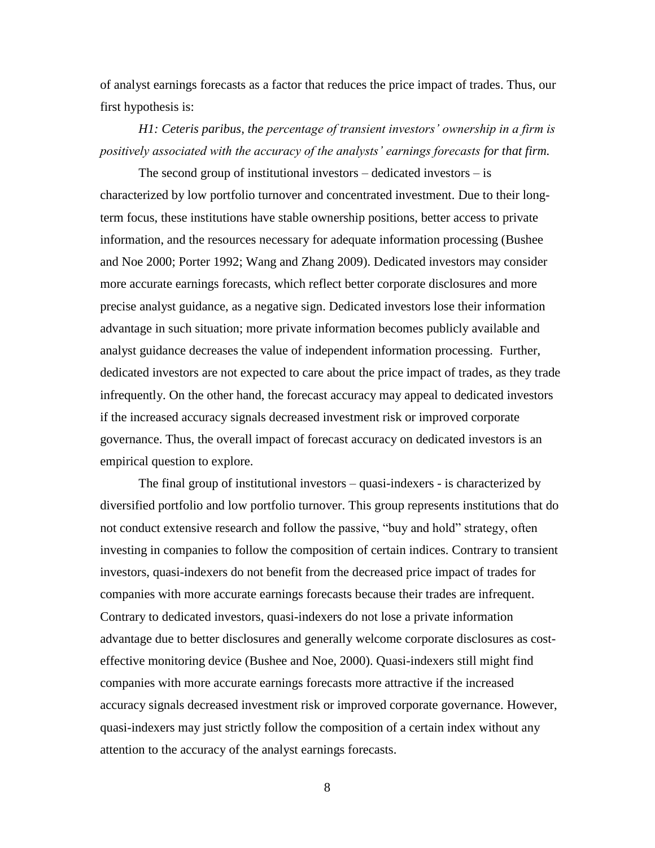of analyst earnings forecasts as a factor that reduces the price impact of trades. Thus, our first hypothesis is:

*H1: Ceteris paribus, the percentage of transient investors' ownership in a firm is positively associated with the accuracy of the analysts' earnings forecasts for that firm.*

The second group of institutional investors  $-$  dedicated investors  $-$  is characterized by low portfolio turnover and concentrated investment. Due to their longterm focus, these institutions have stable ownership positions, better access to private information, and the resources necessary for adequate information processing (Bushee and Noe 2000; Porter 1992; Wang and Zhang 2009). Dedicated investors may consider more accurate earnings forecasts, which reflect better corporate disclosures and more precise analyst guidance, as a negative sign. Dedicated investors lose their information advantage in such situation; more private information becomes publicly available and analyst guidance decreases the value of independent information processing. Further, dedicated investors are not expected to care about the price impact of trades, as they trade infrequently. On the other hand, the forecast accuracy may appeal to dedicated investors if the increased accuracy signals decreased investment risk or improved corporate governance. Thus, the overall impact of forecast accuracy on dedicated investors is an empirical question to explore.

The final group of institutional investors – quasi-indexers - is characterized by diversified portfolio and low portfolio turnover. This group represents institutions that do not conduct extensive research and follow the passive, "buy and hold" strategy, often investing in companies to follow the composition of certain indices. Contrary to transient investors, quasi-indexers do not benefit from the decreased price impact of trades for companies with more accurate earnings forecasts because their trades are infrequent. Contrary to dedicated investors, quasi-indexers do not lose a private information advantage due to better disclosures and generally welcome corporate disclosures as costeffective monitoring device (Bushee and Noe, 2000). Quasi-indexers still might find companies with more accurate earnings forecasts more attractive if the increased accuracy signals decreased investment risk or improved corporate governance. However, quasi-indexers may just strictly follow the composition of a certain index without any attention to the accuracy of the analyst earnings forecasts.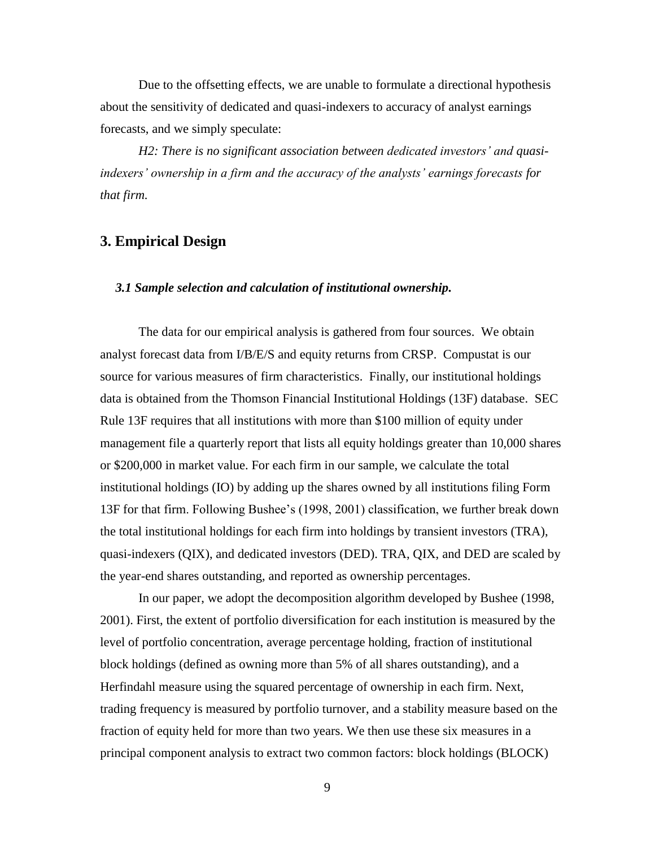Due to the offsetting effects, we are unable to formulate a directional hypothesis about the sensitivity of dedicated and quasi-indexers to accuracy of analyst earnings forecasts, and we simply speculate:

*H2: There is no significant association between dedicated investors' and quasiindexers' ownership in a firm and the accuracy of the analysts' earnings forecasts for that firm.*

# **3. Empirical Design**

### *3.1 Sample selection and calculation of institutional ownership.*

The data for our empirical analysis is gathered from four sources. We obtain analyst forecast data from I/B/E/S and equity returns from CRSP. Compustat is our source for various measures of firm characteristics. Finally, our institutional holdings data is obtained from the Thomson Financial Institutional Holdings (13F) database. SEC Rule 13F requires that all institutions with more than \$100 million of equity under management file a quarterly report that lists all equity holdings greater than 10,000 shares or \$200,000 in market value. For each firm in our sample, we calculate the total institutional holdings (IO) by adding up the shares owned by all institutions filing Form 13F for that firm. Following Bushee's (1998, 2001) classification, we further break down the total institutional holdings for each firm into holdings by transient investors (TRA), quasi-indexers (QIX), and dedicated investors (DED). TRA, QIX, and DED are scaled by the year-end shares outstanding, and reported as ownership percentages.

In our paper, we adopt the decomposition algorithm developed by Bushee (1998, 2001). First, the extent of portfolio diversification for each institution is measured by the level of portfolio concentration, average percentage holding, fraction of institutional block holdings (defined as owning more than 5% of all shares outstanding), and a Herfindahl measure using the squared percentage of ownership in each firm. Next, trading frequency is measured by portfolio turnover, and a stability measure based on the fraction of equity held for more than two years. We then use these six measures in a principal component analysis to extract two common factors: block holdings (BLOCK)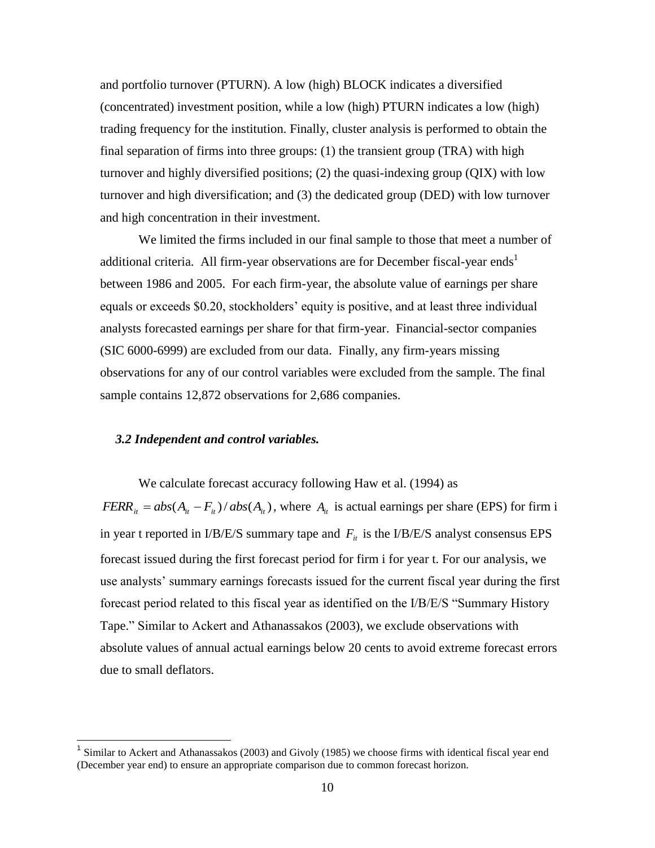and portfolio turnover (PTURN). A low (high) BLOCK indicates a diversified (concentrated) investment position, while a low (high) PTURN indicates a low (high) trading frequency for the institution. Finally, cluster analysis is performed to obtain the final separation of firms into three groups: (1) the transient group (TRA) with high turnover and highly diversified positions; (2) the quasi-indexing group (QIX) with low turnover and high diversification; and (3) the dedicated group (DED) with low turnover and high concentration in their investment.

We limited the firms included in our final sample to those that meet a number of additional criteria. All firm-year observations are for December fiscal-year ends<sup>1</sup> between 1986 and 2005. For each firm-year, the absolute value of earnings per share equals or exceeds \$0.20, stockholders' equity is positive, and at least three individual analysts forecasted earnings per share for that firm-year. Financial-sector companies (SIC 6000-6999) are excluded from our data. Finally, any firm-years missing observations for any of our control variables were excluded from the sample. The final sample contains 12,872 observations for 2,686 companies.

### *3.2 Independent and control variables.*

 $\overline{a}$ 

We calculate forecast accuracy following Haw et al. (1994) as  $FERR_i = abs(A_i - F_i)/abs(A_i)$ , where  $A_i$  is actual earnings per share (EPS) for firm i in year t reported in I/B/E/S summary tape and  $F_{it}$  is the I/B/E/S analyst consensus EPS forecast issued during the first forecast period for firm i for year t. For our analysis, we use analysts' summary earnings forecasts issued for the current fiscal year during the first forecast period related to this fiscal year as identified on the I/B/E/S "Summary History Tape." Similar to Ackert and Athanassakos (2003), we exclude observations with absolute values of annual actual earnings below 20 cents to avoid extreme forecast errors due to small deflators.

<sup>&</sup>lt;sup>1</sup> Similar to Ackert and Athanassakos (2003) and Givoly (1985) we choose firms with identical fiscal year end (December year end) to ensure an appropriate comparison due to common forecast horizon.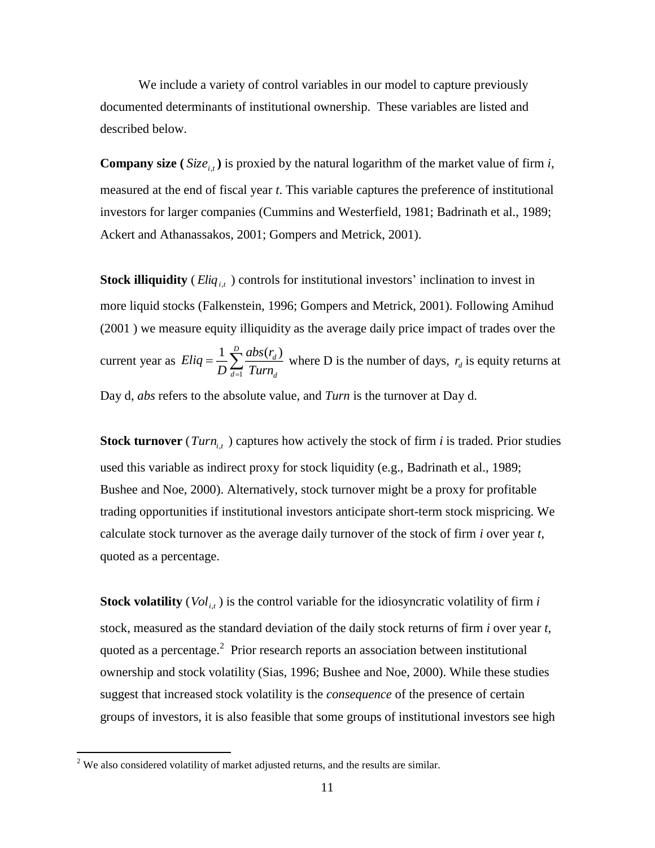We include a variety of control variables in our model to capture previously documented determinants of institutional ownership. These variables are listed and described below.

**Company size** ( $Size_{i,t}$ ) is proxied by the natural logarithm of the market value of firm *i*, measured at the end of fiscal year *t*. This variable captures the preference of institutional investors for larger companies (Cummins and Westerfield, 1981; Badrinath et al., 1989; Ackert and Athanassakos, 2001; Gompers and Metrick, 2001).

**Stock illiquidity** (*Eliq*<sub>*i,t*</sub>) controls for institutional investors' inclination to invest in more liquid stocks (Falkenstein, 1996; Gompers and Metrick, 2001). Following Amihud (2001 ) we measure equity illiquidity as the average daily price impact of trades over the current year as 1  $1 \sum_{l}^{D} abs(r_d)$  $d=1$  *LUIN* $d$  $Eliq = \frac{1}{R}\sum_{r=1}^{D} \frac{abs(r_r)}{r_r}$  $=\frac{1}{D}\sum_{d=1}^{D}\frac{d\theta s(r_d)}{Turn_d}$  where D is the number of days,  $r_d$  is equity returns at Day d, *abs* refers to the absolute value, and *Turn* is the turnover at Day d.

**Stock turnover** (*Turn*<sub>*i,t*</sub>) captures how actively the stock of firm *i* is traded. Prior studies used this variable as indirect proxy for stock liquidity (e.g., Badrinath et al., 1989; Bushee and Noe, 2000). Alternatively, stock turnover might be a proxy for profitable trading opportunities if institutional investors anticipate short-term stock mispricing. We calculate stock turnover as the average daily turnover of the stock of firm *i* over year *t*, quoted as a percentage.

**Stock volatility** ( *Vol<sup>i</sup>*,*<sup>t</sup>* ) is the control variable for the idiosyncratic volatility of firm *i* stock, measured as the standard deviation of the daily stock returns of firm *i* over year *t,* quoted as a percentage. $2$  Prior research reports an association between institutional ownership and stock volatility (Sias, 1996; Bushee and Noe, 2000). While these studies suggest that increased stock volatility is the *consequence* of the presence of certain groups of investors, it is also feasible that some groups of institutional investors see high

 $\overline{a}$ 

 $2$  We also considered volatility of market adjusted returns, and the results are similar.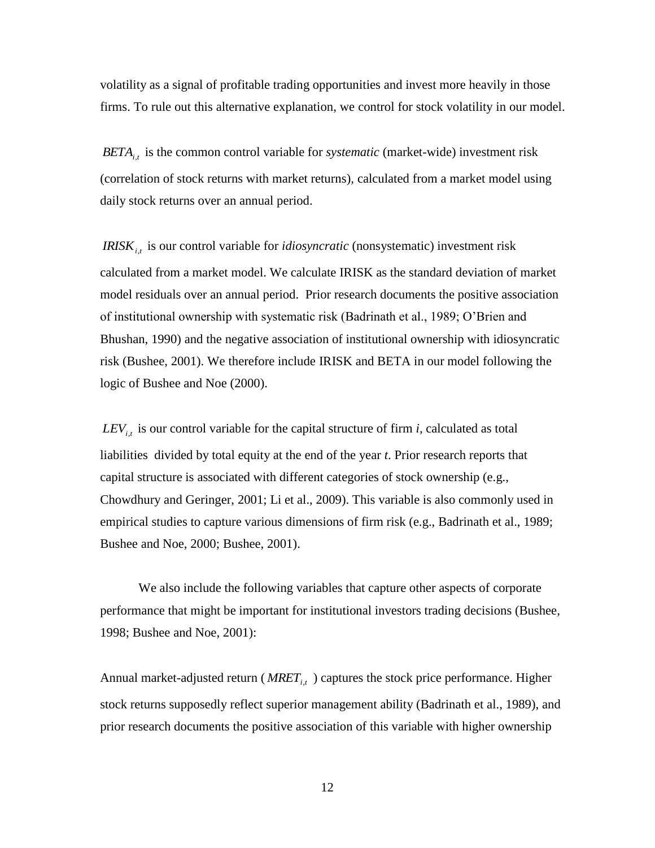volatility as a signal of profitable trading opportunities and invest more heavily in those firms. To rule out this alternative explanation, we control for stock volatility in our model.

*BETA<sup>i</sup>*,*<sup>t</sup>* is the common control variable for *systematic* (market-wide) investment risk (correlation of stock returns with market returns)*,* calculated from a market model using daily stock returns over an annual period.

*IRISK*<sub>it</sub> is our control variable for *idiosyncratic* (nonsystematic) investment risk calculated from a market model. We calculate IRISK as the standard deviation of market model residuals over an annual period. Prior research documents the positive association of institutional ownership with systematic risk (Badrinath et al., 1989; O'Brien and Bhushan, 1990) and the negative association of institutional ownership with idiosyncratic risk (Bushee, 2001). We therefore include IRISK and BETA in our model following the logic of Bushee and Noe (2000).

 $LEV_{i,t}$  is our control variable for the capital structure of firm *i*, calculated as total liabilities divided by total equity at the end of the year *t*. Prior research reports that capital structure is associated with different categories of stock ownership (e.g., Chowdhury and Geringer, 2001; Li et al., 2009). This variable is also commonly used in empirical studies to capture various dimensions of firm risk (e.g., Badrinath et al., 1989; Bushee and Noe, 2000; Bushee, 2001).

We also include the following variables that capture other aspects of corporate performance that might be important for institutional investors trading decisions (Bushee, 1998; Bushee and Noe, 2001):

Annual market-adjusted return ( *MRET<sup>i</sup>*,*<sup>t</sup>* ) captures the stock price performance. Higher stock returns supposedly reflect superior management ability (Badrinath et al., 1989), and prior research documents the positive association of this variable with higher ownership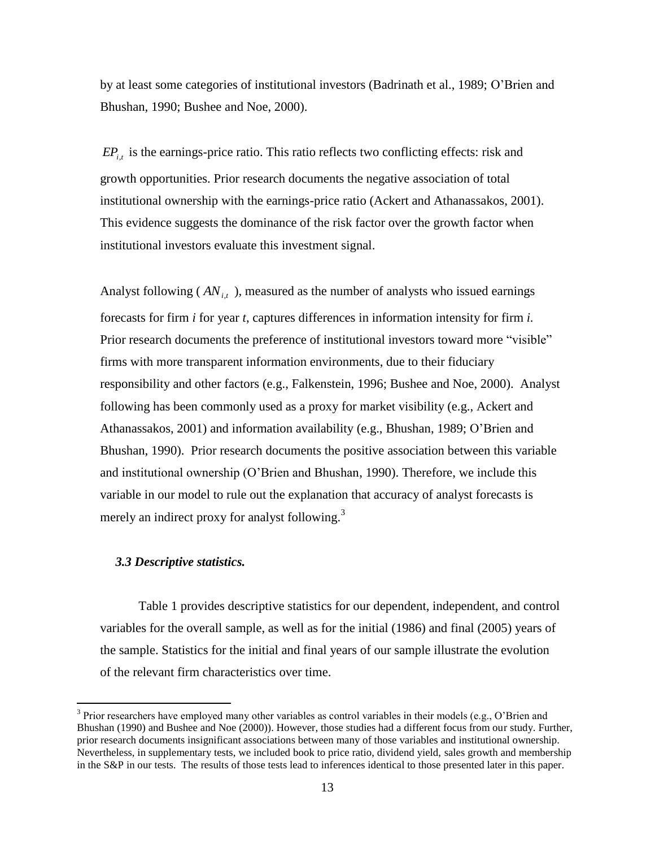by at least some categories of institutional investors (Badrinath et al., 1989; O'Brien and Bhushan, 1990; Bushee and Noe, 2000).

 $EP_{i,t}$  is the earnings-price ratio. This ratio reflects two conflicting effects: risk and growth opportunities. Prior research documents the negative association of total institutional ownership with the earnings-price ratio (Ackert and Athanassakos, 2001). This evidence suggests the dominance of the risk factor over the growth factor when institutional investors evaluate this investment signal.

Analyst following ( *AN<sup>i</sup>*,*<sup>t</sup>* )*,* measured as the number of analysts who issued earnings forecasts for firm *i* for year *t*, captures differences in information intensity for firm *i.* Prior research documents the preference of institutional investors toward more "visible" firms with more transparent information environments, due to their fiduciary responsibility and other factors (e.g., Falkenstein, 1996; Bushee and Noe, 2000). Analyst following has been commonly used as a proxy for market visibility (e.g., Ackert and Athanassakos, 2001) and information availability (e.g., Bhushan, 1989; O'Brien and Bhushan, 1990). Prior research documents the positive association between this variable and institutional ownership (O'Brien and Bhushan, 1990). Therefore, we include this variable in our model to rule out the explanation that accuracy of analyst forecasts is merely an indirect proxy for analyst following.<sup>3</sup>

#### *3.3 Descriptive statistics.*

 $\overline{a}$ 

Table 1 provides descriptive statistics for our dependent, independent, and control variables for the overall sample, as well as for the initial (1986) and final (2005) years of the sample. Statistics for the initial and final years of our sample illustrate the evolution of the relevant firm characteristics over time.

<sup>&</sup>lt;sup>3</sup> Prior researchers have employed many other variables as control variables in their models (e.g., O'Brien and Bhushan (1990) and Bushee and Noe (2000)). However, those studies had a different focus from our study. Further, prior research documents insignificant associations between many of those variables and institutional ownership. Nevertheless, in supplementary tests, we included book to price ratio, dividend yield, sales growth and membership in the S&P in our tests. The results of those tests lead to inferences identical to those presented later in this paper.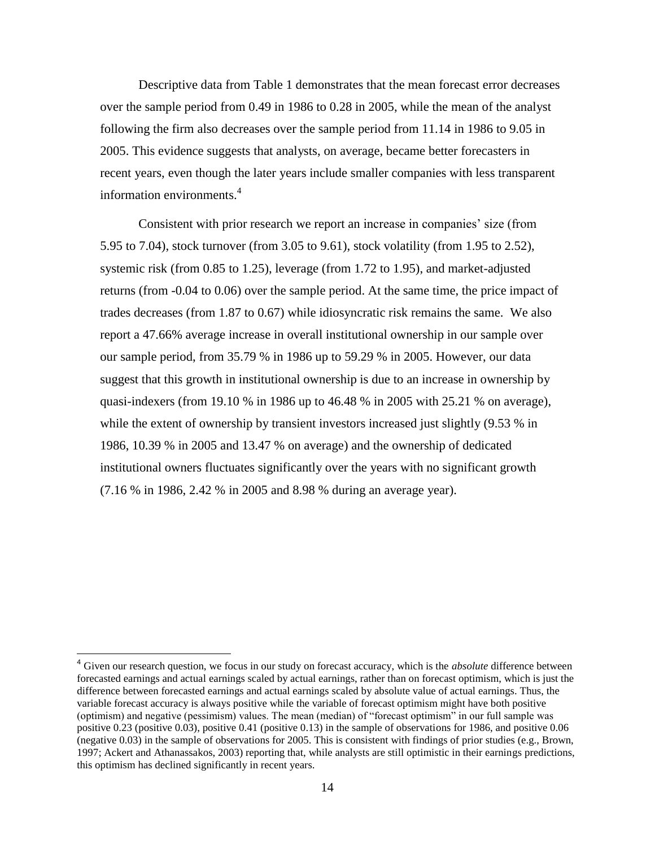Descriptive data from Table 1 demonstrates that the mean forecast error decreases over the sample period from 0.49 in 1986 to 0.28 in 2005, while the mean of the analyst following the firm also decreases over the sample period from 11.14 in 1986 to 9.05 in 2005. This evidence suggests that analysts, on average, became better forecasters in recent years, even though the later years include smaller companies with less transparent information environments. 4

Consistent with prior research we report an increase in companies' size (from 5.95 to 7.04), stock turnover (from 3.05 to 9.61), stock volatility (from 1.95 to 2.52), systemic risk (from 0.85 to 1.25), leverage (from 1.72 to 1.95), and market-adjusted returns (from -0.04 to 0.06) over the sample period. At the same time, the price impact of trades decreases (from 1.87 to 0.67) while idiosyncratic risk remains the same. We also report a 47.66% average increase in overall institutional ownership in our sample over our sample period, from 35.79 % in 1986 up to 59.29 % in 2005. However, our data suggest that this growth in institutional ownership is due to an increase in ownership by quasi-indexers (from 19.10 % in 1986 up to 46.48 % in 2005 with 25.21 % on average), while the extent of ownership by transient investors increased just slightly  $(9.53 \% \text{ in}$ 1986, 10.39 % in 2005 and 13.47 % on average) and the ownership of dedicated institutional owners fluctuates significantly over the years with no significant growth (7.16 % in 1986, 2.42 % in 2005 and 8.98 % during an average year).

 $\overline{a}$ 

<sup>4</sup> Given our research question, we focus in our study on forecast accuracy, which is the *absolute* difference between forecasted earnings and actual earnings scaled by actual earnings, rather than on forecast optimism, which is just the difference between forecasted earnings and actual earnings scaled by absolute value of actual earnings. Thus, the variable forecast accuracy is always positive while the variable of forecast optimism might have both positive (optimism) and negative (pessimism) values. The mean (median) of "forecast optimism" in our full sample was positive 0.23 (positive 0.03), positive 0.41 (positive 0.13) in the sample of observations for 1986, and positive 0.06 (negative 0.03) in the sample of observations for 2005. This is consistent with findings of prior studies (e.g., Brown, 1997; Ackert and Athanassakos, 2003) reporting that, while analysts are still optimistic in their earnings predictions, this optimism has declined significantly in recent years.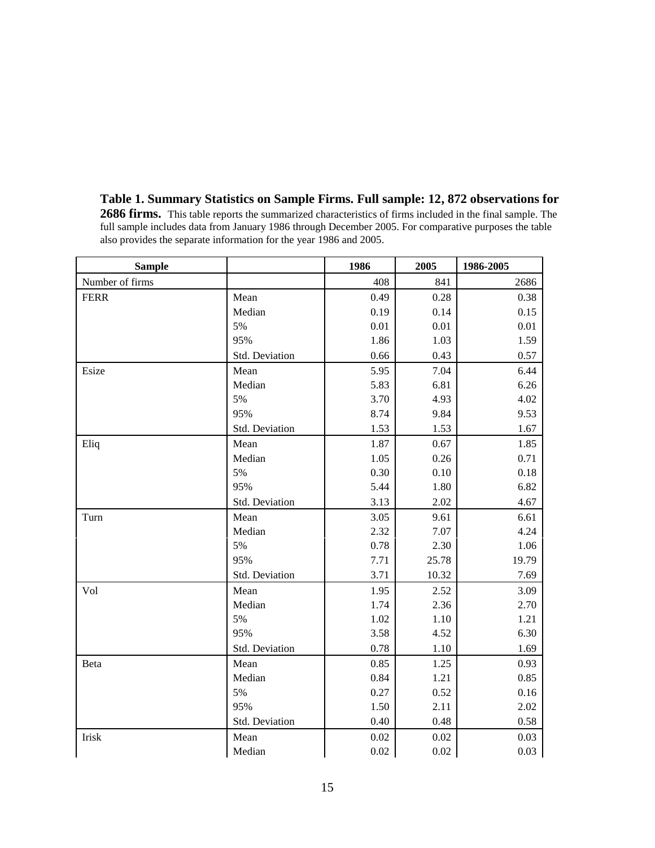| Table 1. Summary Statistics on Sample Firms. Full sample: 12, 872 observations for                              |  |  |  |  |  |  |  |  |
|-----------------------------------------------------------------------------------------------------------------|--|--|--|--|--|--|--|--|
| <b>2686 firms.</b> This table reports the summarized characteristics of firms included in the final sample. The |  |  |  |  |  |  |  |  |
| full sample includes data from January 1986 through December 2005. For comparative purposes the table           |  |  |  |  |  |  |  |  |
| also provides the separate information for the year 1986 and 2005.                                              |  |  |  |  |  |  |  |  |
|                                                                                                                 |  |  |  |  |  |  |  |  |

| <b>Sample</b>   |                | 1986     | 2005  | 1986-2005 |
|-----------------|----------------|----------|-------|-----------|
| Number of firms |                | 408      | 841   | 2686      |
| <b>FERR</b>     | Mean           | 0.49     | 0.28  | 0.38      |
|                 | Median         | 0.19     | 0.14  | 0.15      |
|                 | 5%             | 0.01     | 0.01  | 0.01      |
|                 | 95%            | 1.86     | 1.03  | 1.59      |
|                 | Std. Deviation | 0.66     | 0.43  | 0.57      |
| Esize           | Mean           | 5.95     | 7.04  | 6.44      |
|                 | Median         | 5.83     | 6.81  | 6.26      |
|                 | 5%             | 3.70     | 4.93  | 4.02      |
|                 | 95%            | 8.74     | 9.84  | 9.53      |
|                 | Std. Deviation | 1.53     | 1.53  | 1.67      |
| Eliq            | Mean           | 1.87     | 0.67  | 1.85      |
|                 | Median         | 1.05     | 0.26  | 0.71      |
|                 | 5%             | 0.30     | 0.10  | 0.18      |
|                 | 95%            | 5.44     | 1.80  | 6.82      |
|                 | Std. Deviation | 3.13     | 2.02  | 4.67      |
| Turn            | Mean           | 3.05     | 9.61  | 6.61      |
|                 | Median         | 2.32     | 7.07  | 4.24      |
|                 | 5%             | 0.78     | 2.30  | 1.06      |
|                 | 95%            | 7.71     | 25.78 | 19.79     |
|                 | Std. Deviation | 3.71     | 10.32 | 7.69      |
| Vol             | Mean           | 1.95     | 2.52  | 3.09      |
|                 | Median         | 1.74     | 2.36  | 2.70      |
|                 | 5%             | 1.02     | 1.10  | 1.21      |
|                 | 95%            | 3.58     | 4.52  | 6.30      |
|                 | Std. Deviation | 0.78     | 1.10  | 1.69      |
| Beta            | Mean           | 0.85     | 1.25  | 0.93      |
|                 | Median         | 0.84     | 1.21  | 0.85      |
|                 | 5%             | 0.27     | 0.52  | 0.16      |
|                 | 95%            | 1.50     | 2.11  | 2.02      |
|                 | Std. Deviation | 0.40     | 0.48  | 0.58      |
| Irisk           | Mean           | $0.02\,$ | 0.02  | 0.03      |
|                 | Median         | $0.02\,$ | 0.02  | 0.03      |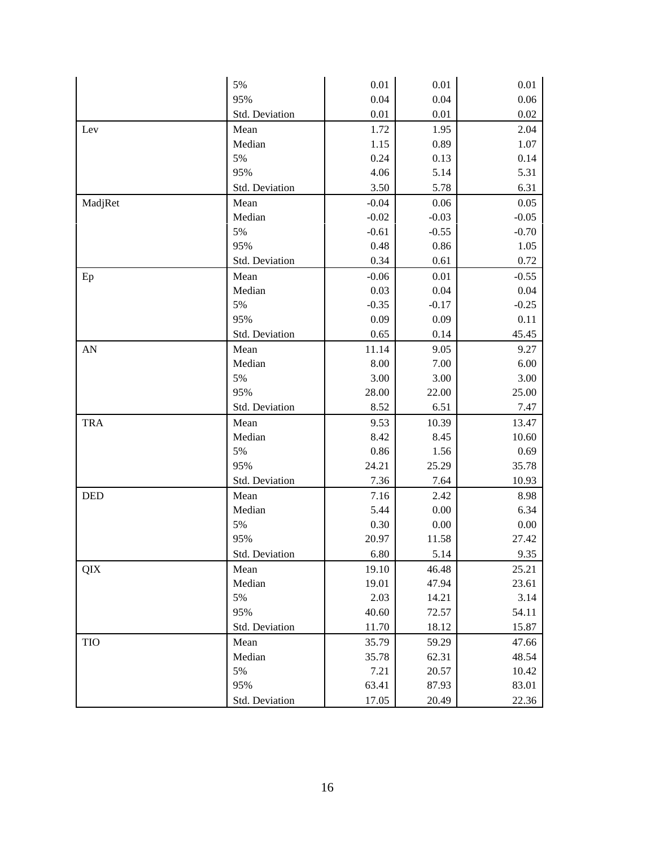|            | 5%             | 0.01    | 0.01    | 0.01     |
|------------|----------------|---------|---------|----------|
|            | 95%            | 0.04    | 0.04    | 0.06     |
|            | Std. Deviation | 0.01    | 0.01    | 0.02     |
| Lev        | Mean           | 1.72    | 1.95    | 2.04     |
|            | Median         | 1.15    | 0.89    | 1.07     |
|            | 5%             | 0.24    | 0.13    | 0.14     |
|            | 95%            | 4.06    | 5.14    | 5.31     |
|            | Std. Deviation | 3.50    | 5.78    | 6.31     |
| MadjRet    | Mean           | $-0.04$ | 0.06    | 0.05     |
|            | Median         | $-0.02$ | $-0.03$ | $-0.05$  |
|            | 5%             | $-0.61$ | $-0.55$ | $-0.70$  |
|            | 95%            | 0.48    | 0.86    | 1.05     |
|            | Std. Deviation | 0.34    | 0.61    | 0.72     |
| Ep         | Mean           | $-0.06$ | 0.01    | $-0.55$  |
|            | Median         | 0.03    | 0.04    | 0.04     |
|            | 5%             | $-0.35$ | $-0.17$ | $-0.25$  |
|            | 95%            | 0.09    | 0.09    | 0.11     |
|            | Std. Deviation | 0.65    | 0.14    | 45.45    |
| AN         | Mean           | 11.14   | 9.05    | 9.27     |
|            | Median         | 8.00    | 7.00    | 6.00     |
|            | 5%             | 3.00    | 3.00    | 3.00     |
|            | 95%            | 28.00   | 22.00   | 25.00    |
|            | Std. Deviation | 8.52    | 6.51    | 7.47     |
| <b>TRA</b> | Mean           | 9.53    | 10.39   | 13.47    |
|            | Median         | 8.42    | 8.45    | 10.60    |
|            | 5%             | 0.86    | 1.56    | 0.69     |
|            | 95%            | 24.21   | 25.29   | 35.78    |
|            | Std. Deviation | 7.36    | 7.64    | 10.93    |
| <b>DED</b> | Mean           | 7.16    | 2.42    | 8.98     |
|            | Median         | 5.44    | 0.00    | 6.34     |
|            | 5%             | 0.30    | 0.00    | $0.00\,$ |
|            | 95%            | 20.97   | 11.58   | 27.42    |
|            | Std. Deviation | 6.80    | 5.14    | 9.35     |
| QIX        | Mean           | 19.10   | 46.48   | 25.21    |
|            | Median         | 19.01   | 47.94   | 23.61    |
|            | 5%             | 2.03    | 14.21   | 3.14     |
|            | 95%            | 40.60   | 72.57   | 54.11    |
|            | Std. Deviation | 11.70   | 18.12   | 15.87    |
| TIO        | Mean           | 35.79   | 59.29   | 47.66    |
|            | Median         | 35.78   | 62.31   | 48.54    |
|            | 5%             | 7.21    | 20.57   | 10.42    |
|            | 95%            | 63.41   | 87.93   | 83.01    |
|            | Std. Deviation | 17.05   | 20.49   | 22.36    |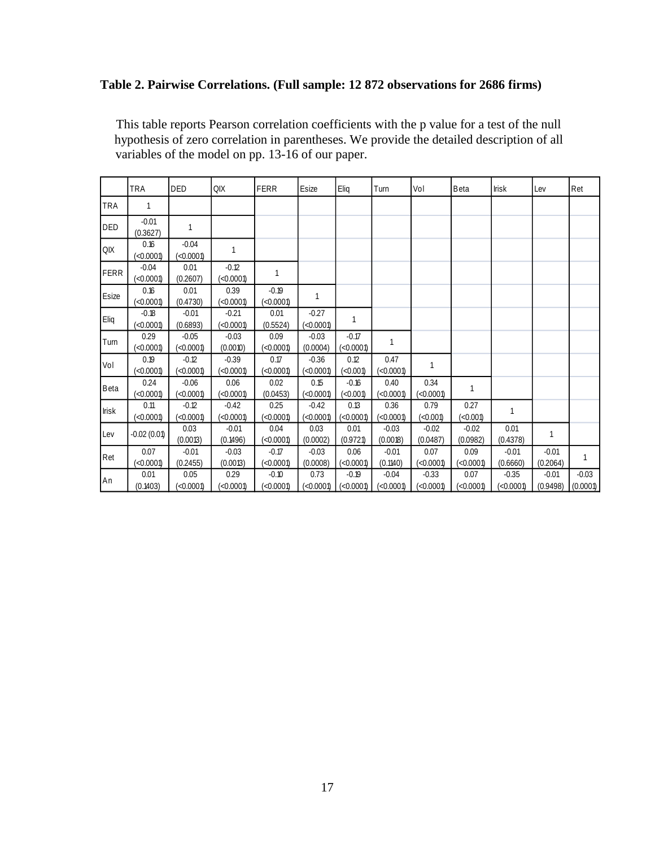# **Table 2. Pairwise Correlations. (Full sample: 12 872 observations for 2686 firms)**

This table reports Pearson correlation coefficients with the p value for a test of the null hypothesis of zero correlation in parentheses. We provide the detailed description of all variables of the model on pp. 13-16 of our paper.

|              | <b>TRA</b>          | <b>DED</b>           | QIX                  | FERR                 | Esize                | Eliq                 | Turn                 | Vol                  | Beta                | <b>Irisk</b>         | Lev                 | Ret                 |
|--------------|---------------------|----------------------|----------------------|----------------------|----------------------|----------------------|----------------------|----------------------|---------------------|----------------------|---------------------|---------------------|
| <b>TRA</b>   | 1                   |                      |                      |                      |                      |                      |                      |                      |                     |                      |                     |                     |
| <b>DED</b>   | $-0.01$<br>(0.3627) | 1                    |                      |                      |                      |                      |                      |                      |                     |                      |                     |                     |
| QIX          | 0.16<br>< 0.0001    | $-0.04$<br>(<0.0001) | 1                    |                      |                      |                      |                      |                      |                     |                      |                     |                     |
| <b>FERR</b>  | $-0.04$<br>< 0.0001 | 0.01<br>(0.2607)     | $-0.12$<br>(<0.0001) | 1                    |                      |                      |                      |                      |                     |                      |                     |                     |
| Esize        | 0.16<br>< 0.0001    | 0.01<br>(0.4730)     | 0.39<br>(<0.0001)    | $-0.19$<br>(<0.0001) | 1                    |                      |                      |                      |                     |                      |                     |                     |
| Eliq         | $-0.18$<br>< 0.0001 | $-0.01$<br>(0.6893)  | $-0.21$<br>(<0.0001) | 0.01<br>(0.5524)     | $-0.27$<br>(<0.0001) | 1                    |                      |                      |                     |                      |                     |                     |
| Turn         | 0.29<br>< 0.0001    | $-0.05$<br>< 0.0001  | $-0.03$<br>(0.0010)  | 0.09<br>(<0.0001)    | $-0.03$<br>(0.0004)  | $-0.17$<br>(<0.0001) | 1                    |                      |                     |                      |                     |                     |
| Vol          | 0.19<br>< 0.0001    | $-0.12$<br>< 0.0001  | $-0.39$<br>(<0.0001) | 0.17<br>(<0.0001)    | $-0.36$<br>(<0.0001) | 0.12<br>(<0.001)     | 0.47<br>< 0.0001     | 1                    |                     |                      |                     |                     |
| Beta         | 0.24<br>< 0.0001    | $-0.06$<br>< 0.0001  | 0.06<br>(<0.0001)    | 0.02<br>(0.0453)     | 0.15<br>(<0.0001)    | $-0.16$<br>< 0.001   | 0.40<br>< 0.0001     | 0.34<br>(<0.0001)    | $\mathbf{1}$        |                      |                     |                     |
| <b>Irisk</b> | 0.11<br>(<0.0001)   | $-0.12$<br>(<0.0001) | $-0.42$<br>(<0.0001) | 0.25<br>(<0.0001)    | $-0.42$<br>(<0.0001) | 0.13<br>(<0.0001)    | 0.36<br>(<0.0001)    | 0.79<br>(<0.001)     | 0.27<br>(<0.001)    | 1                    |                     |                     |
| Lev          | $-0.02(0.01)$       | 0.03<br>(0.0013)     | $-0.01$<br>(0.1496)  | 0.04<br>(<0.0001)    | 0.03<br>(0.0002)     | 0.01<br>(0.9721)     | $-0.03$<br>(0.0018)  | $-0.02$<br>(0.0487)  | $-0.02$<br>(0.0982) | 0.01<br>(0.4378)     | $\mathbf{1}$        |                     |
| Ret          | 0.07<br>< 0.0001    | $-0.01$<br>(0.2455)  | $-0.03$<br>(0.0013)  | $-0.17$<br>(<0.0001) | $-0.03$<br>(0.0008)  | 0.06<br>(<0.0001)    | $-0.01$<br>(0.1140)  | 0.07<br>(<0.0001)    | 0.09<br>(<0.0001)   | $-0.01$<br>(0.6660)  | $-0.01$<br>(0.2064) | 1                   |
| An           | 0.01<br>(0.1403)    | 0.05<br>< 0.0001     | 0.29<br>(<0.0001)    | $-0.10$<br>(<0.0001) | 0.73<br>(<0.0001)    | $-0.19$<br>(<0.0001) | $-0.04$<br>(<0.0001) | $-0.33$<br>(<0.0001) | 0.07<br>(<0.0001)   | $-0.35$<br>(<0.0001) | $-0.01$<br>(0.9498) | $-0.03$<br>(0.0001) |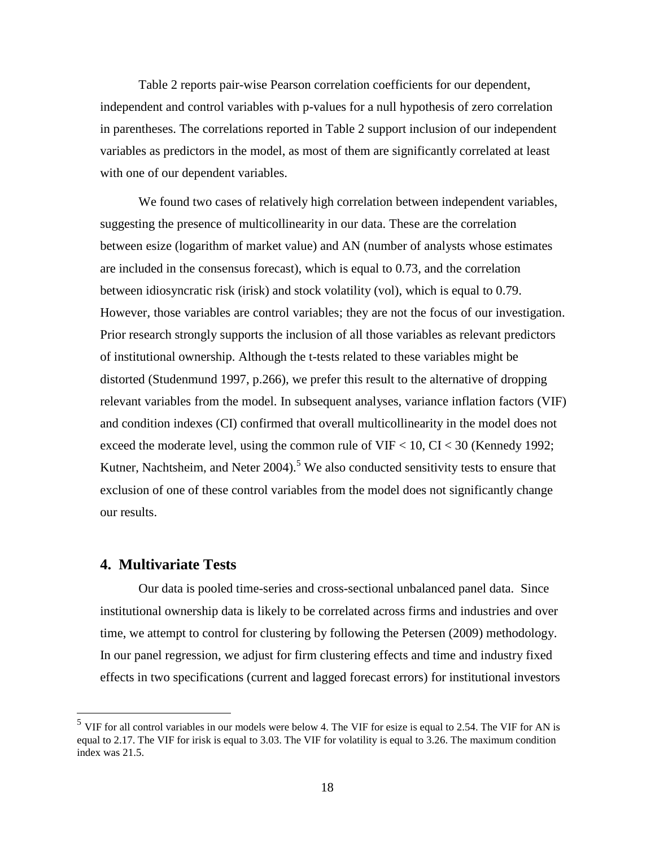Table 2 reports pair-wise Pearson correlation coefficients for our dependent, independent and control variables with p-values for a null hypothesis of zero correlation in parentheses. The correlations reported in Table 2 support inclusion of our independent variables as predictors in the model, as most of them are significantly correlated at least with one of our dependent variables.

We found two cases of relatively high correlation between independent variables, suggesting the presence of multicollinearity in our data. These are the correlation between esize (logarithm of market value) and AN (number of analysts whose estimates are included in the consensus forecast), which is equal to 0.73, and the correlation between idiosyncratic risk (irisk) and stock volatility (vol), which is equal to 0.79. However, those variables are control variables; they are not the focus of our investigation. Prior research strongly supports the inclusion of all those variables as relevant predictors of institutional ownership. Although the t-tests related to these variables might be distorted (Studenmund 1997, p.266), we prefer this result to the alternative of dropping relevant variables from the model. In subsequent analyses, variance inflation factors (VIF) and condition indexes (CI) confirmed that overall multicollinearity in the model does not exceed the moderate level, using the common rule of VIF < 10, CI < 30 (Kennedy 1992; Kutner, Nachtsheim, and Neter  $2004$ <sup>5</sup>. We also conducted sensitivity tests to ensure that exclusion of one of these control variables from the model does not significantly change our results.

### **4. Multivariate Tests**

 $\overline{a}$ 

Our data is pooled time-series and cross-sectional unbalanced panel data. Since institutional ownership data is likely to be correlated across firms and industries and over time, we attempt to control for clustering by following the Petersen (2009) methodology. In our panel regression, we adjust for firm clustering effects and time and industry fixed effects in two specifications (current and lagged forecast errors) for institutional investors

 $<sup>5</sup>$  VIF for all control variables in our models were below 4. The VIF for esize is equal to 2.54. The VIF for AN is</sup> equal to 2.17. The VIF for irisk is equal to 3.03. The VIF for volatility is equal to 3.26. The maximum condition index was 21.5.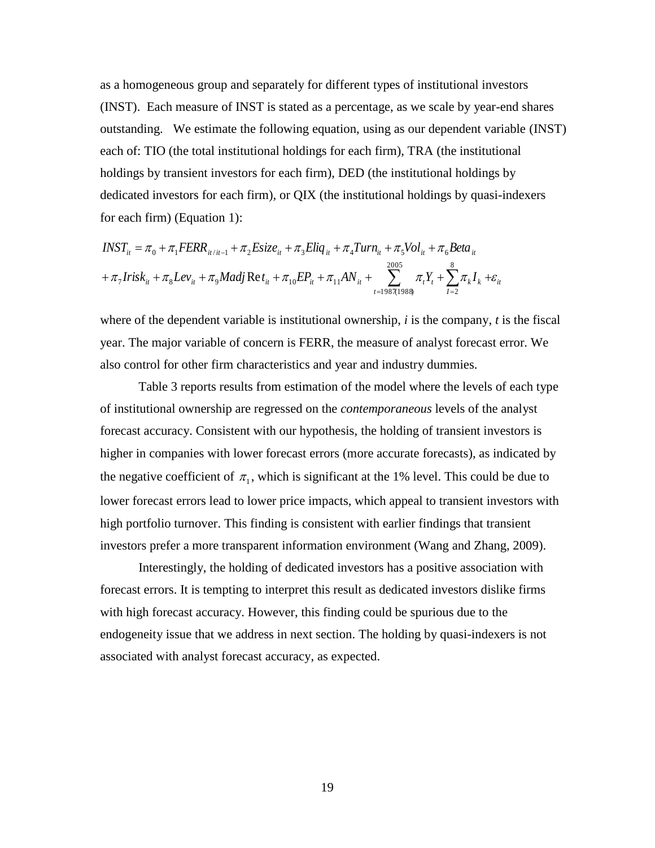as a homogeneous group and separately for different types of institutional investors (INST). Each measure of INST is stated as a percentage, as we scale by year-end shares outstanding. We estimate the following equation, using as our dependent variable (INST) each of: TIO (the total institutional holdings for each firm), TRA (the institutional holdings by transient investors for each firm), DED (the institutional holdings by dedicated investors for each firm), or QIX (the institutional holdings by quasi-indexers for each firm) (Equation 1):

$$
INST_{it} = \pi_0 + \pi_1 FERR_{it/it-1} + \pi_2 Esize_{it} + \pi_3 Eliq_{it} + \pi_4 Turn_{it} + \pi_5 Vol_{it} + \pi_6 Beta_{it}
$$
  
+  $\pi_7 Irish_{it} + \pi_8 Lev_{it} + \pi_9 Madj \text{ Re } t_{it} + \pi_{10} EP_{it} + \pi_{11} AN_{it} + \sum_{t=1987(1988)}^{2005} \pi_t Y_t + \sum_{l=2}^{8} \pi_t I_k + \varepsilon_{it}$ 

where of the dependent variable is institutional ownership, *i* is the company, *t* is the fiscal year. The major variable of concern is FERR, the measure of analyst forecast error. We also control for other firm characteristics and year and industry dummies.

Table 3 reports results from estimation of the model where the levels of each type of institutional ownership are regressed on the *contemporaneous* levels of the analyst forecast accuracy. Consistent with our hypothesis, the holding of transient investors is higher in companies with lower forecast errors (more accurate forecasts), as indicated by the negative coefficient of  $\pi_1$ , which is significant at the 1% level. This could be due to lower forecast errors lead to lower price impacts, which appeal to transient investors with high portfolio turnover. This finding is consistent with earlier findings that transient investors prefer a more transparent information environment (Wang and Zhang, 2009).

Interestingly, the holding of dedicated investors has a positive association with forecast errors. It is tempting to interpret this result as dedicated investors dislike firms with high forecast accuracy. However, this finding could be spurious due to the endogeneity issue that we address in next section. The holding by quasi-indexers is not associated with analyst forecast accuracy, as expected.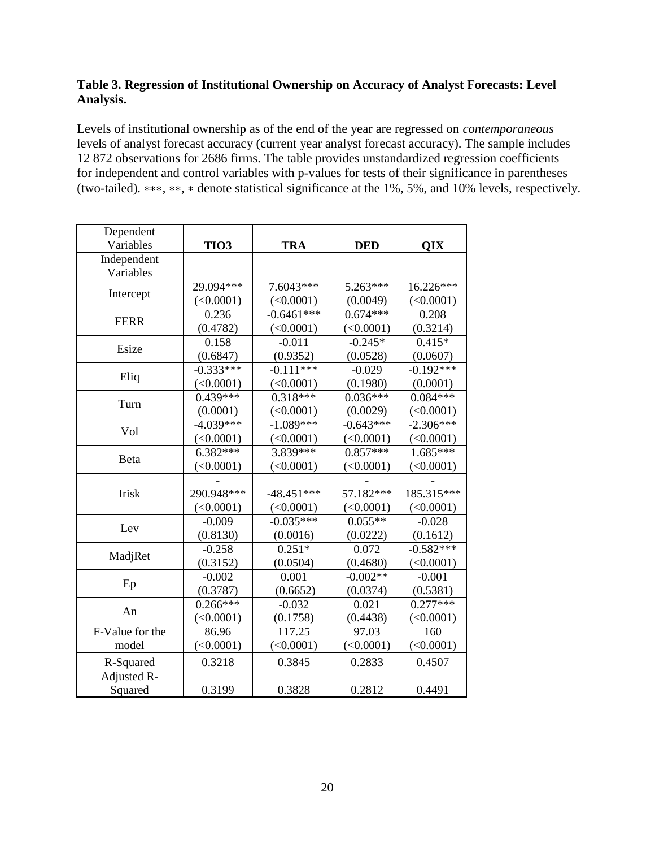### **Table 3. Regression of Institutional Ownership on Accuracy of Analyst Forecasts: Level Analysis.**

Levels of institutional ownership as of the end of the year are regressed on *contemporaneous* levels of analyst forecast accuracy (current year analyst forecast accuracy). The sample includes 12 872 observations for 2686 firms. The table provides unstandardized regression coefficients for independent and control variables with p-values for tests of their significance in parentheses (two-tailed). ∗∗∗, ∗∗, ∗ denote statistical significance at the 1%, 5%, and 10% levels, respectively.

| Dependent       |                  |              |             |             |
|-----------------|------------------|--------------|-------------|-------------|
| Variables       | TIO <sub>3</sub> | <b>TRA</b>   | <b>DED</b>  | QIX         |
| Independent     |                  |              |             |             |
| Variables       |                  |              |             |             |
| Intercept       | $29.094***$      | 7.6043***    | $5.263***$  | 16.226***   |
|                 | (<0.0001)        | (<0.0001)    | (0.0049)    | (<0.0001)   |
| <b>FERR</b>     | 0.236            | $-0.6461***$ | $0.674***$  | 0.208       |
|                 | (0.4782)         | (<0.0001)    | (<0.0001)   | (0.3214)    |
| Esize           | 0.158            | $-0.011$     | $-0.245*$   | $0.415*$    |
|                 | (0.6847)         | (0.9352)     | (0.0528)    | (0.0607)    |
|                 | $-0.333***$      | $-0.111***$  | $-0.029$    | $-0.192***$ |
| Eliq            | (<0.0001)        | (<0.0001)    | (0.1980)    | (0.0001)    |
|                 | $0.439***$       | $0.318***$   | $0.036***$  | $0.084***$  |
| Turn            | (0.0001)         | (<0.0001)    | (0.0029)    | (<0.0001)   |
| Vol             | $-4.039***$      | $-1.089***$  | $-0.643***$ | $-2.306***$ |
|                 | (<0.0001)        | (<0.0001)    | (<0.0001)   | (<0.0001)   |
|                 | $6.382***$       | 3.839***     | $0.857***$  | 1.685***    |
| <b>B</b> eta    | (<0.0001)        | (<0.0001)    | (<0.0001)   | (<0.0001)   |
|                 |                  |              |             |             |
| Irisk           | 290.948***       | $-48.451***$ | 57.182***   | 185.315***  |
|                 | (<0.0001)        | (<0.0001)    | (<0.0001)   | (<0.0001)   |
|                 | $-0.009$         | $-0.035***$  | $0.055**$   | $-0.028$    |
| Lev             | (0.8130)         | (0.0016)     | (0.0222)    | (0.1612)    |
|                 | $-0.258$         | $0.251*$     | 0.072       | $-0.582***$ |
| MadjRet         | (0.3152)         | (0.0504)     | (0.4680)    | (<0.0001)   |
|                 | $-0.002$         | 0.001        | $-0.002**$  | $-0.001$    |
| Ep              | (0.3787)         | (0.6652)     | (0.0374)    | (0.5381)    |
|                 | $0.266***$       | $-0.032$     | 0.021       | $0.277***$  |
| An              | (<0.0001)        | (0.1758)     | (0.4438)    | (<0.0001)   |
| F-Value for the | 86.96            | 117.25       | 97.03       | 160         |
| model           | (<0.0001)        | (<0.0001)    | (<0.0001)   | (<0.0001)   |
| R-Squared       | 0.3218           | 0.3845       | 0.2833      | 0.4507      |
| Adjusted R-     |                  |              |             |             |
| Squared         | 0.3199           | 0.3828       | 0.2812      | 0.4491      |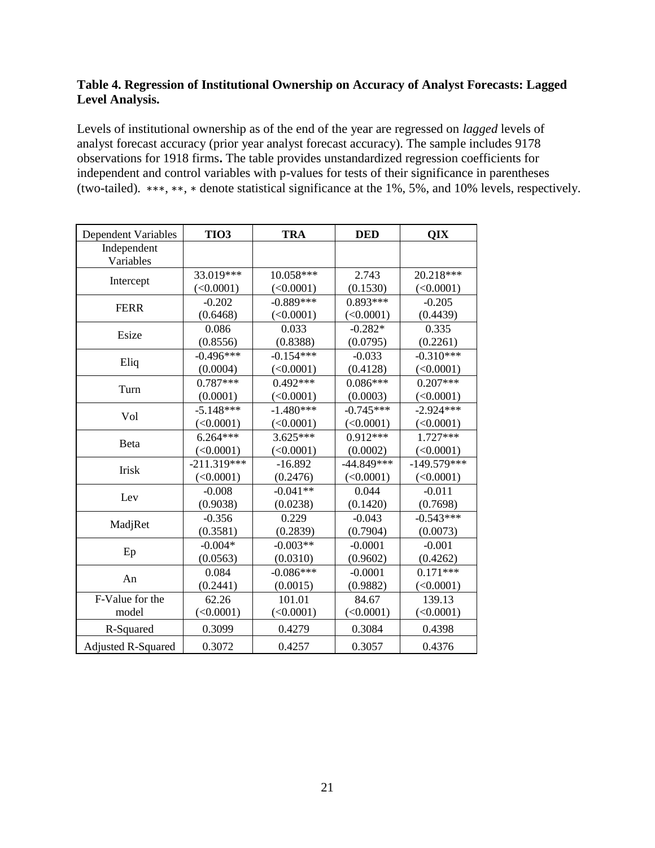### **Table 4. Regression of Institutional Ownership on Accuracy of Analyst Forecasts: Lagged Level Analysis.**

Levels of institutional ownership as of the end of the year are regressed on *lagged* levels of analyst forecast accuracy (prior year analyst forecast accuracy). The sample includes 9178 observations for 1918 firms**.** The table provides unstandardized regression coefficients for independent and control variables with p-values for tests of their significance in parentheses (two-tailed). ∗∗∗, ∗∗, ∗ denote statistical significance at the 1%, 5%, and 10% levels, respectively.

| <b>Dependent Variables</b> | TIO <sub>3</sub> | <b>TRA</b>  | <b>DED</b>   | QIX           |
|----------------------------|------------------|-------------|--------------|---------------|
| Independent<br>Variables   |                  |             |              |               |
|                            | 33.019***        | 10.058***   | 2.743        | 20.218***     |
| Intercept                  | (<0.0001)        | (<0.0001)   | (0.1530)     | (<0.0001)     |
| <b>FERR</b>                | $-0.202$         | $-0.889***$ | $0.893***$   | $-0.205$      |
|                            | (0.6468)         | (<0.0001)   | (<0.0001)    | (0.4439)      |
| Esize                      | 0.086            | 0.033       | $-0.282*$    | 0.335         |
|                            | (0.8556)         | (0.8388)    | (0.0795)     | (0.2261)      |
|                            | $-0.496***$      | $-0.154***$ | $-0.033$     | $-0.310***$   |
| Eliq                       | (0.0004)         | (<0.0001)   | (0.4128)     | (<0.0001)     |
|                            | $0.787***$       | $0.492***$  | $0.086***$   | $0.207***$    |
| Turn                       | (0.0001)         | (<0.0001)   | (0.0003)     | (<0.0001)     |
|                            | $-5.148***$      | $-1.480***$ | $-0.745***$  | $-2.924***$   |
| Vol                        | (<0.0001)        | (<0.0001)   | (<0.0001)    | (<0.0001)     |
|                            | $6.264***$       | $3.625***$  | $0.912***$   | $1.727***$    |
| Beta                       | (<0.0001)        | (<0.0001)   | (0.0002)     | (<0.0001)     |
|                            | $-211.319***$    | $-16.892$   | $-44.849***$ | $-149.579***$ |
| Irisk                      | (<0.0001)        | (0.2476)    | (<0.0001)    | (<0.0001)     |
|                            | $-0.008$         | $-0.041**$  | 0.044        | $-0.011$      |
| Lev                        | (0.9038)         | (0.0238)    | (0.1420)     | (0.7698)      |
|                            | $-0.356$         | 0.229       | $-0.043$     | $-0.543***$   |
| MadjRet                    | (0.3581)         | (0.2839)    | (0.7904)     | (0.0073)      |
|                            | $-0.004*$        | $-0.003**$  | $-0.0001$    | $-0.001$      |
| Ep                         | (0.0563)         | (0.0310)    | (0.9602)     | (0.4262)      |
|                            | 0.084            | $-0.086***$ | $-0.0001$    | $0.171***$    |
| An                         | (0.2441)         | (0.0015)    | (0.9882)     | (<0.0001)     |
| F-Value for the            | 62.26            | 101.01      | 84.67        | 139.13        |
| model                      | (<0.0001)        | (<0.0001)   | $($ <0.0001) | (<0.0001)     |
| R-Squared                  | 0.3099           | 0.4279      | 0.3084       | 0.4398        |
| <b>Adjusted R-Squared</b>  | 0.3072           | 0.4257      | 0.3057       | 0.4376        |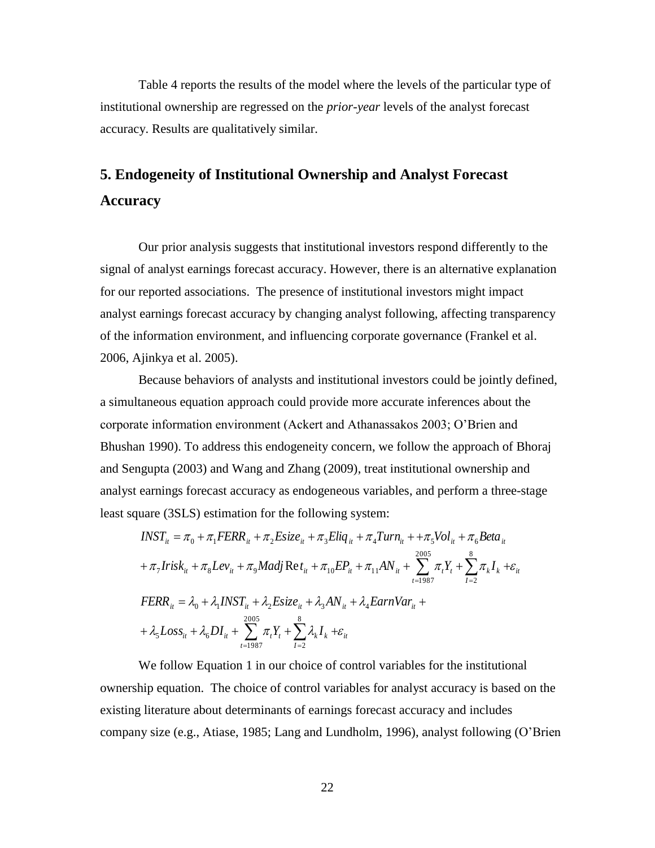Table 4 reports the results of the model where the levels of the particular type of institutional ownership are regressed on the *prior-year* levels of the analyst forecast accuracy. Results are qualitatively similar.

# **5. Endogeneity of Institutional Ownership and Analyst Forecast Accuracy**

Our prior analysis suggests that institutional investors respond differently to the signal of analyst earnings forecast accuracy. However, there is an alternative explanation for our reported associations. The presence of institutional investors might impact analyst earnings forecast accuracy by changing analyst following, affecting transparency of the information environment, and influencing corporate governance (Frankel et al. 2006, Ajinkya et al. 2005).

Because behaviors of analysts and institutional investors could be jointly defined, a simultaneous equation approach could provide more accurate inferences about the corporate information environment (Ackert and Athanassakos 2003; O'Brien and Bhushan 1990). To address this endogeneity concern, we follow the approach of Bhoraj and Sengupta (2003) and Wang and Zhang (2009), treat institutional ownership and analyst earnings forecast accuracy as endogeneous variables, and perform a three-stage least square (3SLS) estimation for the following system:

$$
INST_{ii} = \pi_0 + \pi_1 FERR_{ii} + \pi_2 Eisize_{ii} + \pi_3 Eliq_{ii} + \pi_4 Turn_{ii} + + \pi_5 Vol_{ii} + \pi_6 Beta_{ii}
$$
  
+  $\pi_7 Irish_{ii} + \pi_8 Lev_{ii} + \pi_9 Madj Ret_{ii} + \pi_{10} EP_{ii} + \pi_{11} AN_{ii} + \sum_{t=1987}^{2005} \pi_t Y_t + \sum_{l=2}^{8} \pi_t I_k + \varepsilon_{it}$   

$$
FERR_{ii} = \lambda_0 + \lambda_1 INST_{ii} + \lambda_2 Eisize_{ii} + \lambda_3 AN_{ii} + \lambda_4EarnVar_{ii} +
$$
  
+  $\lambda_5 Loss_{ii} + \lambda_6 DI_{ii} + \sum_{t=1987}^{2005} \pi_t Y_t + \sum_{l=2}^{8} \lambda_k I_k + \varepsilon_{it}$ 

We follow Equation 1 in our choice of control variables for the institutional ownership equation. The choice of control variables for analyst accuracy is based on the existing literature about determinants of earnings forecast accuracy and includes company size (e.g., Atiase, 1985; Lang and Lundholm, 1996), analyst following (O'Brien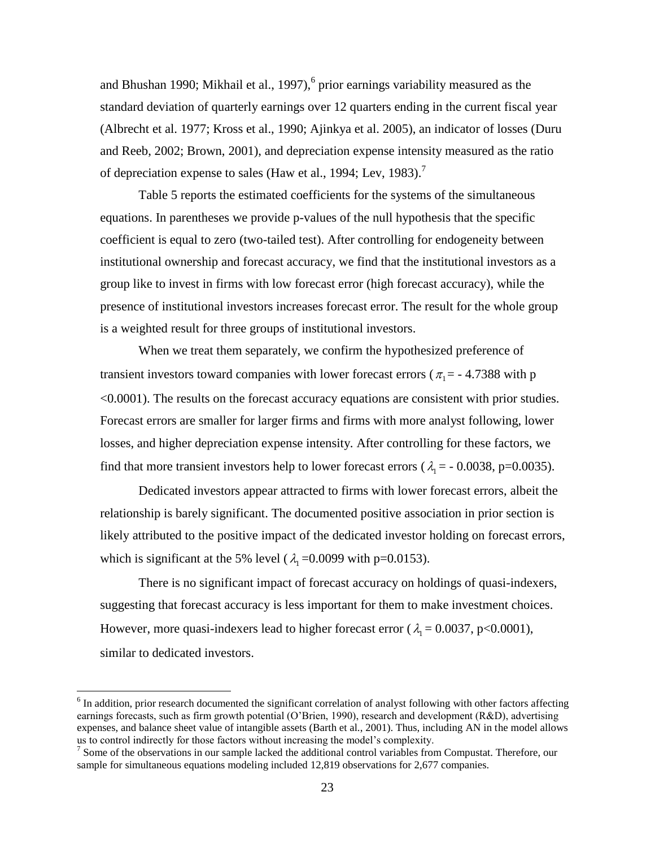and Bhushan 1990; Mikhail et al., 1997),<sup>6</sup> prior earnings variability measured as the standard deviation of quarterly earnings over 12 quarters ending in the current fiscal year (Albrecht et al. 1977; Kross et al., 1990; Ajinkya et al. 2005), an indicator of losses (Duru and Reeb, 2002; Brown, 2001), and depreciation expense intensity measured as the ratio of depreciation expense to sales (Haw et al., 1994; Lev, 1983).<sup>7</sup>

Table 5 reports the estimated coefficients for the systems of the simultaneous equations. In parentheses we provide p-values of the null hypothesis that the specific coefficient is equal to zero (two-tailed test). After controlling for endogeneity between institutional ownership and forecast accuracy, we find that the institutional investors as a group like to invest in firms with low forecast error (high forecast accuracy), while the presence of institutional investors increases forecast error. The result for the whole group is a weighted result for three groups of institutional investors.

When we treat them separately, we confirm the hypothesized preference of transient investors toward companies with lower forecast errors ( $\pi_1$  = -4.7388 with p <0.0001). The results on the forecast accuracy equations are consistent with prior studies. Forecast errors are smaller for larger firms and firms with more analyst following, lower losses, and higher depreciation expense intensity. After controlling for these factors, we find that more transient investors help to lower forecast errors ( $\lambda_1 = -0.0038$ , p=0.0035).

Dedicated investors appear attracted to firms with lower forecast errors, albeit the relationship is barely significant. The documented positive association in prior section is likely attributed to the positive impact of the dedicated investor holding on forecast errors, which is significant at the 5% level ( $\lambda_1$ =0.0099 with p=0.0153).

There is no significant impact of forecast accuracy on holdings of quasi-indexers, suggesting that forecast accuracy is less important for them to make investment choices. However, more quasi-indexers lead to higher forecast error ( $\lambda_1 = 0.0037$ , p<0.0001), similar to dedicated investors.

 $\overline{a}$ 

 $6$  In addition, prior research documented the significant correlation of analyst following with other factors affecting earnings forecasts, such as firm growth potential (O'Brien, 1990), research and development (R&D), advertising expenses, and balance sheet value of intangible assets (Barth et al., 2001). Thus, including AN in the model allows us to control indirectly for those factors without increasing the model's complexity.

<sup>&</sup>lt;sup>7</sup> Some of the observations in our sample lacked the additional control variables from Compustat. Therefore, our sample for simultaneous equations modeling included 12,819 observations for 2,677 companies.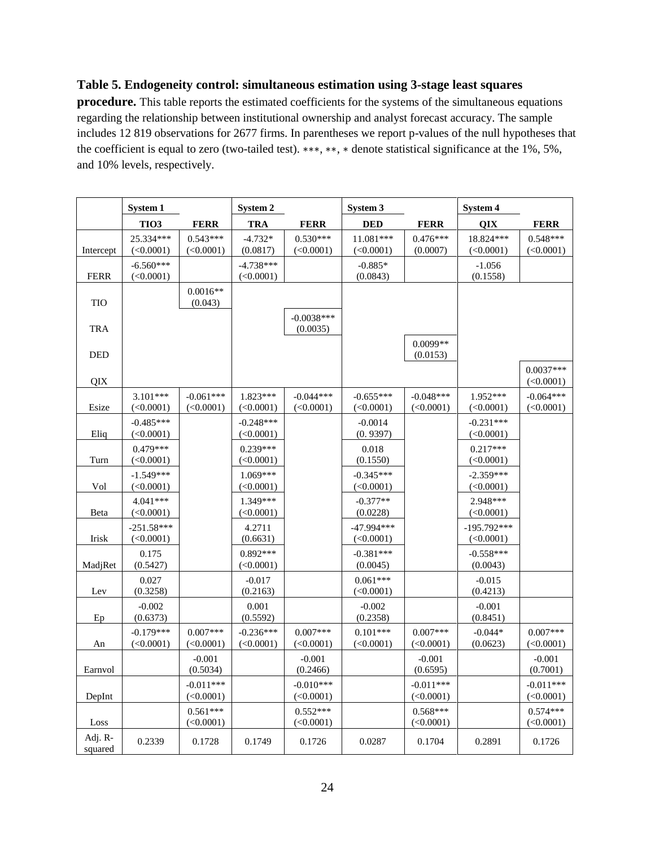### **Table 5. Endogeneity control: simultaneous estimation using 3-stage least squares**

**procedure.** This table reports the estimated coefficients for the systems of the simultaneous equations regarding the relationship between institutional ownership and analyst forecast accuracy. The sample includes 12 819 observations for 2677 firms. In parentheses we report p-values of the null hypotheses that the coefficient is equal to zero (two-tailed test). ∗∗∗, ∗∗, ∗ denote statistical significance at the 1%, 5%, and 10% levels, respectively.

|                    | System 1                       |                               | System 2                       |                                | System 3                 |                          | System 4                       |                                |
|--------------------|--------------------------------|-------------------------------|--------------------------------|--------------------------------|--------------------------|--------------------------|--------------------------------|--------------------------------|
|                    | TIO <sub>3</sub>               | <b>FERR</b>                   | <b>TRA</b>                     | <b>FERR</b>                    | <b>DED</b>               | <b>FERR</b>              | QIX                            | <b>FERR</b>                    |
| Intercept          | 25.334***<br>(<0.0001)         | $0.543***$<br>$(\leq 0.0001)$ | $-4.732*$<br>(0.0817)          | $0.530***$<br>$(\leq 0.0001)$  | 11.081***<br>(<0.0001)   | $0.476***$<br>(0.0007)   | 18.824***<br>(<0.0001)         | $0.548***$<br>$(\leq 0.0001)$  |
| <b>FERR</b>        | $-6.560***$<br>(<0.0001)       |                               | $-4.738***$<br>(<0.0001)       |                                | $-0.885*$<br>(0.0843)    |                          | $-1.056$<br>(0.1558)           |                                |
| <b>TIO</b>         |                                | $0.0016**$<br>(0.043)         |                                |                                |                          |                          |                                |                                |
| <b>TRA</b>         |                                |                               |                                | $-0.0038***$<br>(0.0035)       |                          |                          |                                |                                |
| <b>DED</b>         |                                |                               |                                |                                |                          | 0.0099**<br>(0.0153)     |                                |                                |
| QIX                |                                |                               |                                |                                |                          |                          |                                | $0.0037***$<br>$(\leq 0.0001)$ |
| Esize              | 3.101***<br>$(\leq 0.0001)$    | $-0.061***$<br>(<0.0001)      | 1.823***<br>(<0.0001)          | $-0.044***$<br>$(\leq 0.0001)$ | $-0.655***$<br>(<0.0001) | $-0.048***$<br>(<0.0001) | 1.952***<br>$(\leq 0.0001)$    | $-0.064***$<br>(<0.0001)       |
| Eliq               | $-0.485***$<br>(<0.0001)       |                               | $-0.248***$<br>$(\leq 0.0001)$ |                                | $-0.0014$<br>(0.9397)    |                          | $-0.231***$<br>$(\leq 0.0001)$ |                                |
| Turn               | $0.479***$<br>$(\leq 0.0001)$  |                               | $0.239***$<br>$(\leq 0.0001)$  |                                | 0.018<br>(0.1550)        |                          | $0.217***$<br>$(\leq 0.0001)$  |                                |
| Vol                | $-1.549***$<br>(<0.0001)       |                               | 1.069***<br>(<0.0001)          |                                | $-0.345***$<br>(<0.0001) |                          | $-2.359***$<br>(<0.0001)       |                                |
| Beta               | 4.041***<br>(<0.0001)          |                               | 1.349***<br>(<0.0001)          |                                | $-0.377**$<br>(0.0228)   |                          | 2.948***<br>(<0.0001)          |                                |
| Irisk              | $-251.58***$<br>(<0.0001)      |                               | 4.2711<br>(0.6631)             |                                | -47.994 ***<br>(<0.0001) |                          | $-195.792***$<br>(<0.0001)     |                                |
| MadjRet            | 0.175<br>(0.5427)              |                               | $0.892***$<br>(<0.0001)        |                                | $-0.381***$<br>(0.0045)  |                          | $-0.558***$<br>(0.0043)        |                                |
| Lev                | 0.027<br>(0.3258)              |                               | $-0.017$<br>(0.2163)           |                                | $0.061***$<br>(<0.0001)  |                          | $-0.015$<br>(0.4213)           |                                |
| Ep                 | $-0.002$<br>(0.6373)           |                               | 0.001<br>(0.5592)              |                                | $-0.002$<br>(0.2358)     |                          | $-0.001$<br>(0.8451)           |                                |
| An                 | $-0.179***$<br>$(\leq 0.0001)$ | $0.007***$<br>(<0.0001)       | $-0.236***$<br>(<0.0001)       | $0.007***$<br>(<0.0001)        | $0.101***$<br>(<0.0001)  | $0.007***$<br>(<0.0001)  | $-0.044*$<br>(0.0623)          | $0.007***$<br>(<0.0001)        |
| Earnvol            |                                | $-0.001$<br>(0.5034)          |                                | $-0.001$<br>(0.2466)           |                          | $-0.001$<br>(0.6595)     |                                | $-0.001$<br>(0.7001)           |
| DepInt             |                                | $-0.011***$<br>(<0.0001)      |                                | $-0.010***$<br>(<0.0001)       |                          | $-0.011***$<br>(<0.0001) |                                | $-0.011***$<br>(<0.0001)       |
| Loss               |                                | $0.561***$<br>(<0.0001)       |                                | $0.552***$<br>(<0.0001)        |                          | $0.568***$<br>(<0.0001)  |                                | $0.574***$<br>(<0.0001)        |
| Adj. R-<br>squared | 0.2339                         | 0.1728                        | 0.1749                         | 0.1726                         | 0.0287                   | 0.1704                   | 0.2891                         | 0.1726                         |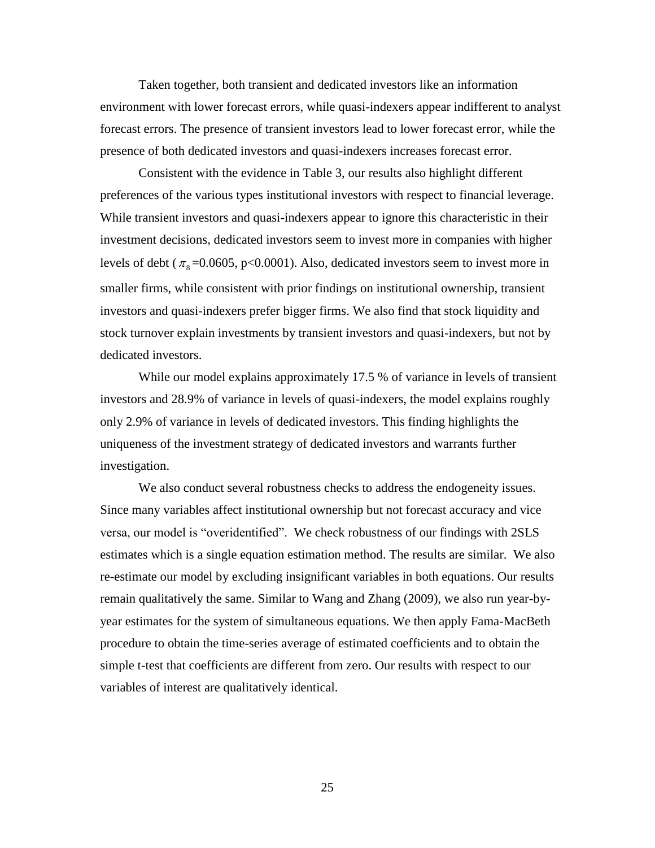Taken together, both transient and dedicated investors like an information environment with lower forecast errors, while quasi-indexers appear indifferent to analyst forecast errors. The presence of transient investors lead to lower forecast error, while the presence of both dedicated investors and quasi-indexers increases forecast error.

Consistent with the evidence in Table 3, our results also highlight different preferences of the various types institutional investors with respect to financial leverage. While transient investors and quasi-indexers appear to ignore this characteristic in their investment decisions, dedicated investors seem to invest more in companies with higher levels of debt ( $\pi$ <sub>8</sub>=0.0605, p<0.0001). Also, dedicated investors seem to invest more in smaller firms, while consistent with prior findings on institutional ownership, transient investors and quasi-indexers prefer bigger firms. We also find that stock liquidity and stock turnover explain investments by transient investors and quasi-indexers, but not by dedicated investors.

While our model explains approximately 17.5 % of variance in levels of transient investors and 28.9% of variance in levels of quasi-indexers, the model explains roughly only 2.9% of variance in levels of dedicated investors. This finding highlights the uniqueness of the investment strategy of dedicated investors and warrants further investigation.

We also conduct several robustness checks to address the endogeneity issues. Since many variables affect institutional ownership but not forecast accuracy and vice versa, our model is "overidentified". We check robustness of our findings with 2SLS estimates which is a single equation estimation method. The results are similar. We also re-estimate our model by excluding insignificant variables in both equations. Our results remain qualitatively the same. Similar to Wang and Zhang (2009), we also run year-byyear estimates for the system of simultaneous equations. We then apply Fama-MacBeth procedure to obtain the time-series average of estimated coefficients and to obtain the simple t-test that coefficients are different from zero. Our results with respect to our variables of interest are qualitatively identical.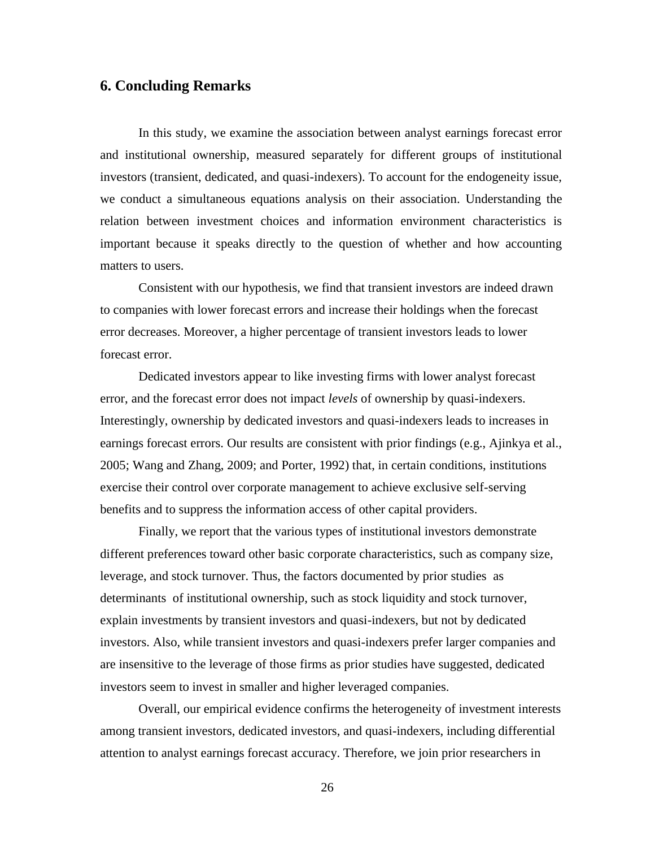### **6. Concluding Remarks**

In this study, we examine the association between analyst earnings forecast error and institutional ownership, measured separately for different groups of institutional investors (transient, dedicated, and quasi-indexers). To account for the endogeneity issue, we conduct a simultaneous equations analysis on their association. Understanding the relation between investment choices and information environment characteristics is important because it speaks directly to the question of whether and how accounting matters to users.

Consistent with our hypothesis, we find that transient investors are indeed drawn to companies with lower forecast errors and increase their holdings when the forecast error decreases. Moreover, a higher percentage of transient investors leads to lower forecast error.

Dedicated investors appear to like investing firms with lower analyst forecast error, and the forecast error does not impact *levels* of ownership by quasi-indexers. Interestingly, ownership by dedicated investors and quasi-indexers leads to increases in earnings forecast errors. Our results are consistent with prior findings (e.g., Ajinkya et al., 2005; Wang and Zhang, 2009; and Porter, 1992) that, in certain conditions, institutions exercise their control over corporate management to achieve exclusive self-serving benefits and to suppress the information access of other capital providers.

Finally, we report that the various types of institutional investors demonstrate different preferences toward other basic corporate characteristics, such as company size, leverage, and stock turnover. Thus, the factors documented by prior studies as determinants of institutional ownership, such as stock liquidity and stock turnover, explain investments by transient investors and quasi-indexers, but not by dedicated investors. Also, while transient investors and quasi-indexers prefer larger companies and are insensitive to the leverage of those firms as prior studies have suggested, dedicated investors seem to invest in smaller and higher leveraged companies.

Overall, our empirical evidence confirms the heterogeneity of investment interests among transient investors, dedicated investors, and quasi-indexers, including differential attention to analyst earnings forecast accuracy. Therefore, we join prior researchers in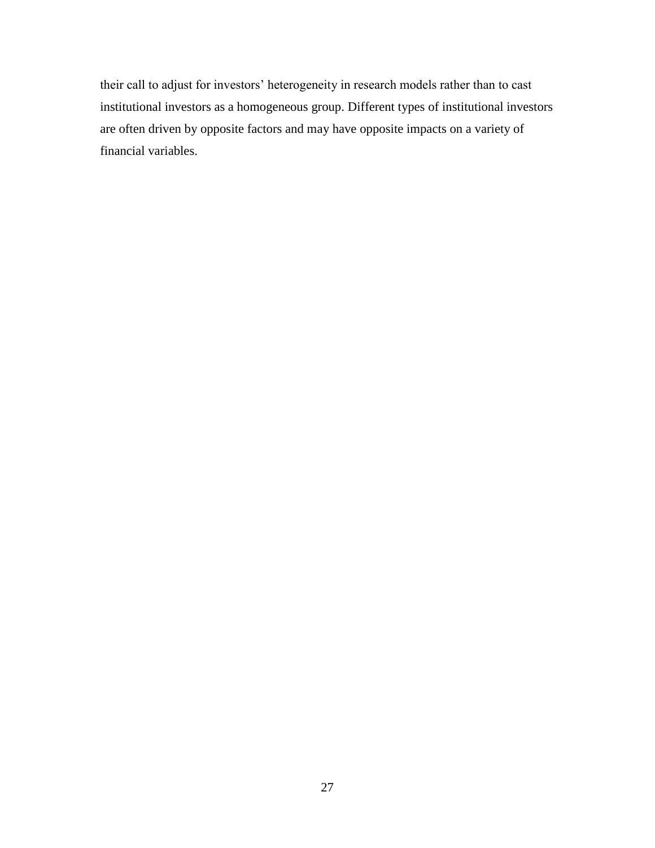their call to adjust for investors' heterogeneity in research models rather than to cast institutional investors as a homogeneous group. Different types of institutional investors are often driven by opposite factors and may have opposite impacts on a variety of financial variables.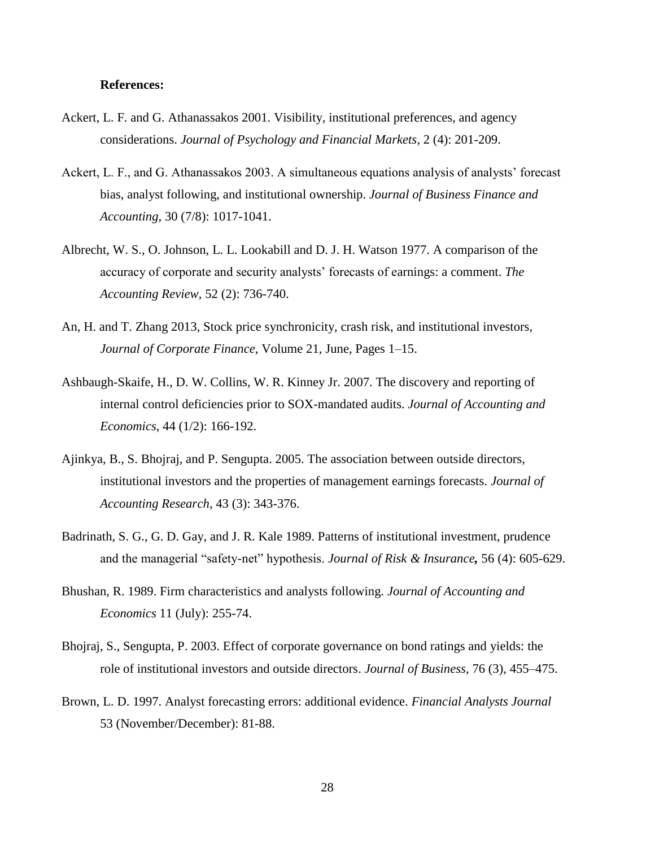### **References:**

- Ackert, L. F. and G. Athanassakos 2001. Visibility, institutional preferences, and agency considerations. *Journal of Psychology and Financial Markets,* 2 (4): 201-209.
- Ackert, L. F., and G. Athanassakos 2003. A simultaneous equations analysis of analysts' forecast bias, analyst following, and institutional ownership. *Journal of Business Finance and Accounting,* 30 (7/8): 1017-1041.
- Albrecht, W. S., O. Johnson, L. L. Lookabill and D. J. H. Watson 1977. A comparison of the accuracy of corporate and security analysts' forecasts of earnings: a comment. *The Accounting Review*, 52 (2): 736-740.
- An, H. and T. Zhang 2013, Stock price synchronicity, crash risk, and institutional investors, *Journal of Corporate Finance*, Volume 21, June, Pages 1–15.
- Ashbaugh-Skaife, H., D. W. Collins, W. R. Kinney Jr. 2007. The discovery and reporting of internal control deficiencies prior to SOX-mandated audits. *Journal of Accounting and Economics*, 44 (1/2): 166-192.
- Ajinkya, B., S. Bhojraj, and P. Sengupta. 2005. The association between outside directors, institutional investors and the properties of management earnings forecasts. *Journal of Accounting Research*, 43 (3): 343-376.
- Badrinath, S. G., G. D. Gay, and J. R. Kale 1989. Patterns of institutional investment, prudence and the managerial "safety-net" hypothesis. *Journal of Risk & Insurance,* 56 (4): 605-629.
- Bhushan, R. 1989. Firm characteristics and analysts following. *Journal of Accounting and Economics* 11 (July): 255-74.
- Bhojraj, S., Sengupta, P. 2003. Effect of corporate governance on bond ratings and yields: the role of institutional investors and outside directors. *Journal of Business*, 76 (3), 455–475.
- Brown, L. D. 1997. Analyst forecasting errors: additional evidence. *Financial Analysts Journal* 53 (November/December): 81-88.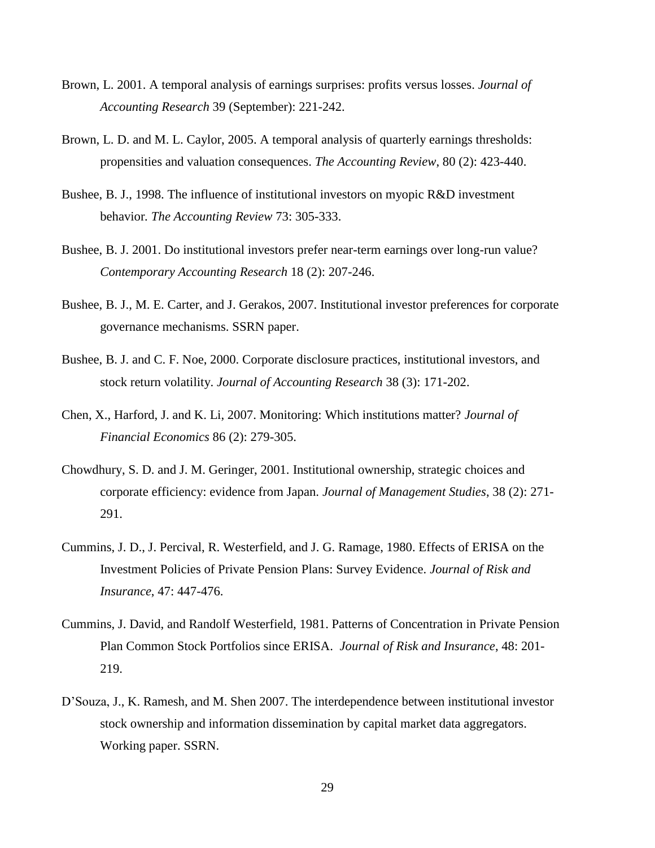- Brown, L. 2001. A temporal analysis of earnings surprises: profits versus losses. *Journal of Accounting Research* 39 (September): 221-242.
- Brown, L. D. and M. L. Caylor, 2005. A temporal analysis of quarterly earnings thresholds: propensities and valuation consequences. *The Accounting Review*, 80 (2): 423-440.
- Bushee, B. J., 1998. The influence of institutional investors on myopic R&D investment behavior*. The Accounting Review* 73: 305-333.
- Bushee, B. J. 2001. Do institutional investors prefer near-term earnings over long-run value? *Contemporary Accounting Research* 18 (2): 207-246.
- Bushee, B. J., M. E. Carter, and J. Gerakos, 2007. Institutional investor preferences for corporate governance mechanisms. SSRN paper.
- Bushee, B. J. and C. F. Noe, 2000. Corporate disclosure practices, institutional investors, and stock return volatility. *Journal of Accounting Research* 38 (3): 171-202.
- Chen, X., Harford, J. and K. Li, 2007. Monitoring: Which institutions matter? *Journal of Financial Economics* 86 (2): 279-305.
- Chowdhury, S. D. and J. M. Geringer, 2001. Institutional ownership, strategic choices and corporate efficiency: evidence from Japan. *Journal of Management Studies*, 38 (2): 271- 291.
- Cummins, J. D., J. Percival, R. Westerfield, and J. G. Ramage, 1980. Effects of ERISA on the Investment Policies of Private Pension Plans: Survey Evidence. *Journal of Risk and Insurance*, 47: 447-476.
- Cummins, J. David, and Randolf Westerfield, 1981. Patterns of Concentration in Private Pension Plan Common Stock Portfolios since ERISA. *Journal of Risk and Insurance*, 48: 201- 219.
- D'Souza, J., K. Ramesh, and M. Shen 2007. The interdependence between institutional investor stock ownership and information dissemination by capital market data aggregators. Working paper. SSRN.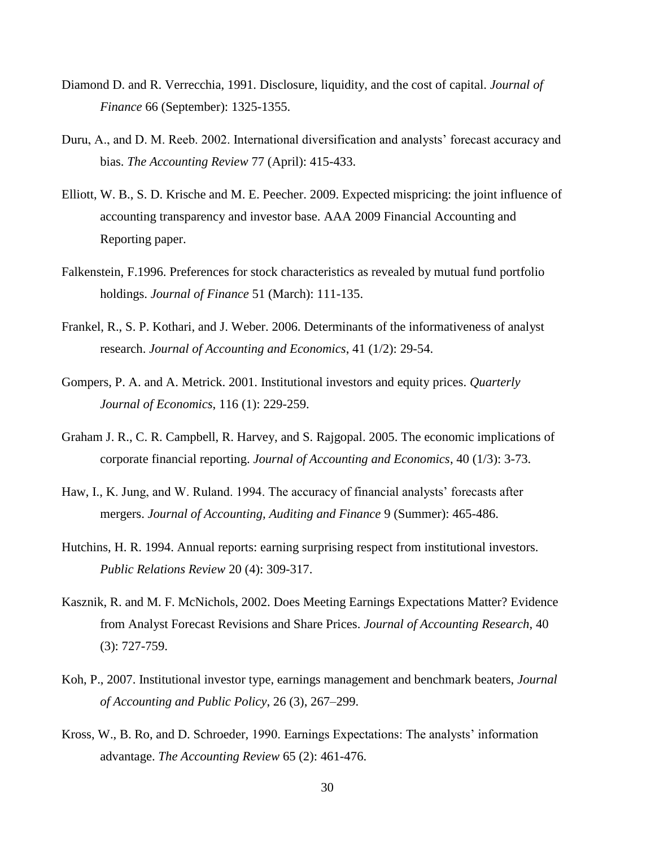- Diamond D. and R. Verrecchia, 1991. Disclosure, liquidity, and the cost of capital. *Journal of Finance* 66 (September): 1325-1355.
- Duru, A., and D. M. Reeb. 2002. International diversification and analysts' forecast accuracy and bias. *The Accounting Review* 77 (April): 415-433.
- Elliott, W. B., S. D. Krische and M. E. Peecher. 2009. Expected mispricing: the joint influence of accounting transparency and investor base. AAA 2009 Financial Accounting and Reporting paper.
- Falkenstein, F.1996. Preferences for stock characteristics as revealed by mutual fund portfolio holdings. *Journal of Finance* 51 (March): 111-135.
- Frankel, R., S. P. Kothari, and J. Weber. 2006. Determinants of the informativeness of analyst research. *Journal of Accounting and Economics*, 41 (1/2): 29-54.
- Gompers, P. A. and A. Metrick. 2001. Institutional investors and equity prices. *Quarterly Journal of Economics*, 116 (1): 229-259.
- Graham J. R., C. R. Campbell, R. Harvey, and S. Rajgopal. 2005. The economic implications of corporate financial reporting. *Journal of Accounting and Economics*, 40 (1/3): 3-73.
- Haw, I., K. Jung, and W. Ruland. 1994. The accuracy of financial analysts' forecasts after mergers. *Journal of Accounting, Auditing and Finance* 9 (Summer): 465-486.
- Hutchins, H. R. 1994. Annual reports: earning surprising respect from institutional investors. *Public Relations Review* 20 (4): 309-317.
- Kasznik, R. and M. F. McNichols, 2002. Does Meeting Earnings Expectations Matter? Evidence from Analyst Forecast Revisions and Share Prices. *Journal of Accounting Research*, 40 (3): 727-759.
- Koh, P., 2007. Institutional investor type, earnings management and benchmark beaters, *Journal of Accounting and Public Policy*, 26 (3), 267–299.
- Kross, W., B. Ro, and D. Schroeder, 1990. Earnings Expectations: The analysts' information advantage. *The Accounting Review* 65 (2): 461-476.